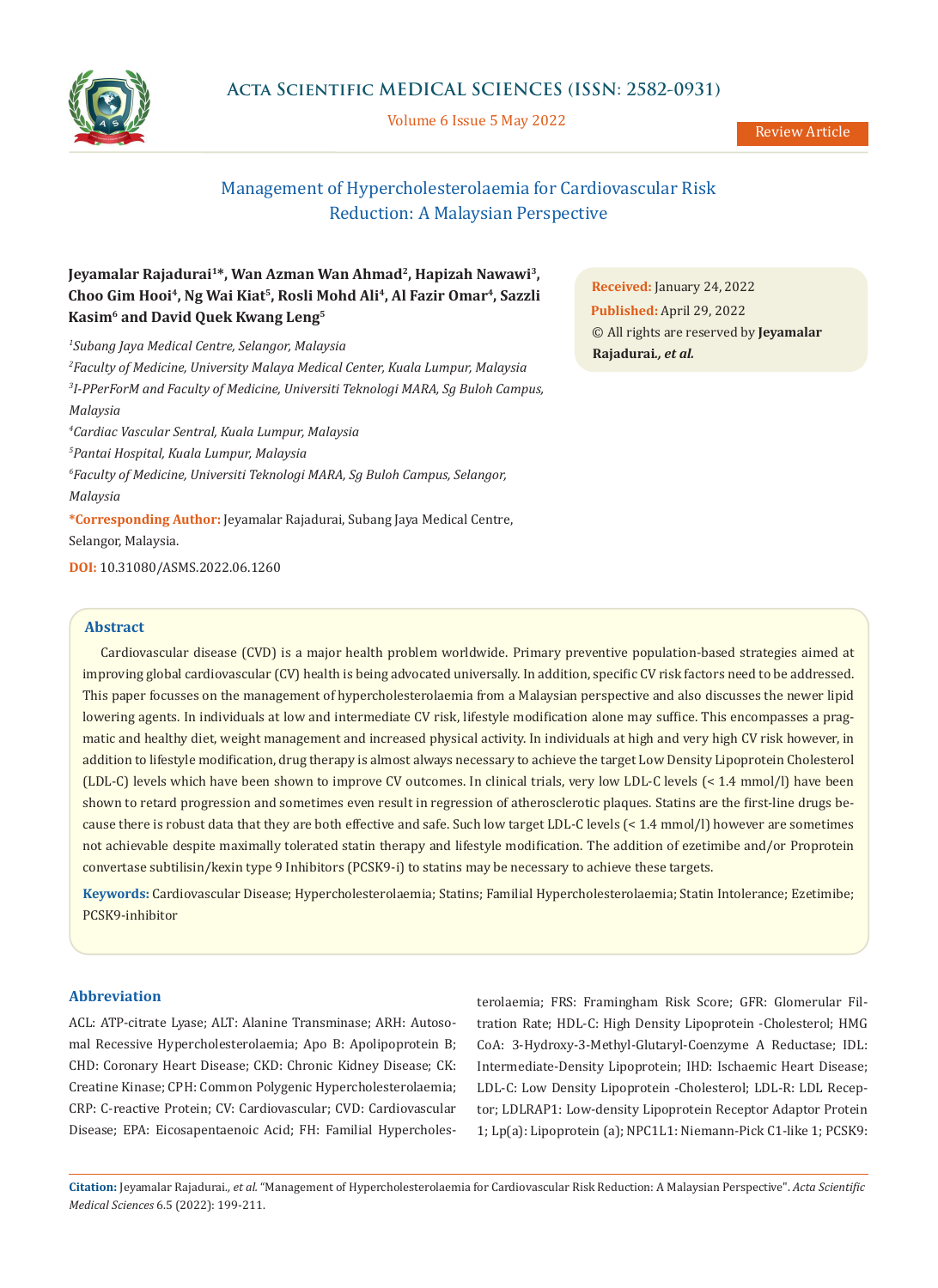

# **Acta Scientific MEDICAL SCIENCES (ISSN: 2582-0931)**

Volume 6 Issue 5 May 2022

# Management of Hypercholesterolaemia for Cardiovascular Risk Reduction: A Malaysian Perspective

# **Jeyamalar Rajadurai1\*, Wan Azman Wan Ahmad2, Hapizah Nawawi3, Choo Gim Hooi4, Ng Wai Kiat5, Rosli Mohd Ali4, Al Fazir Omar4, Sazzli Kasim6 and David Quek Kwang Leng5**

*1 Subang Jaya Medical Centre, Selangor, Malaysia 2 Faculty of Medicine, University Malaya Medical Center, Kuala Lumpur, Malaysia 3 I-PPerForM and Faculty of Medicine, Universiti Teknologi MARA, Sg Buloh Campus, Malaysia 4 Cardiac Vascular Sentral, Kuala Lumpur, Malaysia 5 Pantai Hospital, Kuala Lumpur, Malaysia 6 Faculty of Medicine, Universiti Teknologi MARA, Sg Buloh Campus, Selangor, Malaysia* **\*Corresponding Author:** Jeyamalar Rajadurai, Subang Jaya Medical Centre, Selangor, Malaysia.

**DOI:** [10.31080/ASMS.2022.06.1260](https://actascientific.com/ASMS/pdf/ASMS-06-1260.pdf)

## **Abstract**

Cardiovascular disease (CVD) is a major health problem worldwide. Primary preventive population-based strategies aimed at improving global cardiovascular (CV) health is being advocated universally. In addition, specific CV risk factors need to be addressed. This paper focusses on the management of hypercholesterolaemia from a Malaysian perspective and also discusses the newer lipid lowering agents. In individuals at low and intermediate CV risk, lifestyle modification alone may suffice. This encompasses a pragmatic and healthy diet, weight management and increased physical activity. In individuals at high and very high CV risk however, in addition to lifestyle modification, drug therapy is almost always necessary to achieve the target Low Density Lipoprotein Cholesterol (LDL-C) levels which have been shown to improve CV outcomes. In clinical trials, very low LDL-C levels (< 1.4 mmol/l) have been shown to retard progression and sometimes even result in regression of atherosclerotic plaques. Statins are the first-line drugs because there is robust data that they are both effective and safe. Such low target LDL-C levels (< 1.4 mmol/l) however are sometimes not achievable despite maximally tolerated statin therapy and lifestyle modification. The addition of ezetimibe and/or Proprotein convertase subtilisin/kexin type 9 Inhibitors (PCSK9-i) to statins may be necessary to achieve these targets.

**Keywords:** Cardiovascular Disease; Hypercholesterolaemia; Statins; Familial Hypercholesterolaemia; Statin Intolerance; Ezetimibe; PCSK9-inhibitor

## **Abbreviation**

ACL: ATP-citrate Lyase; ALT: Alanine Transminase; ARH: Autosomal Recessive Hypercholesterolaemia; Apo B: Apolipoprotein B; CHD: Coronary Heart Disease; CKD: Chronic Kidney Disease; CK: Creatine Kinase; CPH: Common Polygenic Hypercholesterolaemia; CRP: C-reactive Protein; CV: Cardiovascular; CVD: Cardiovascular Disease; EPA: Eicosapentaenoic Acid; FH: Familial Hypercholesterolaemia; FRS: Framingham Risk Score; GFR: Glomerular Filtration Rate; HDL-C: High Density Lipoprotein -Cholesterol; HMG CoA: 3-Hydroxy-3-Methyl-Glutaryl-Coenzyme A Reductase; IDL: Intermediate-Density Lipoprotein; IHD: Ischaemic Heart Disease; LDL-C: Low Density Lipoprotein -Cholesterol; LDL-R: LDL Receptor; LDLRAP1: Low-density Lipoprotein Receptor Adaptor Protein 1; Lp(a): Lipoprotein (a); NPC1L1: Niemann-Pick C1-like 1; PCSK9:

**Citation:** Jeyamalar Rajadurai*., et al.* "Management of Hypercholesterolaemia for Cardiovascular Risk Reduction: A Malaysian Perspective". *Acta Scientific Medical Sciences* 6.5 (2022): 199-211.

**Received:** January 24, 2022 **Published:** April 29, 2022 © All rights are reserved by **Jeyamalar Rajadurai***., et al.*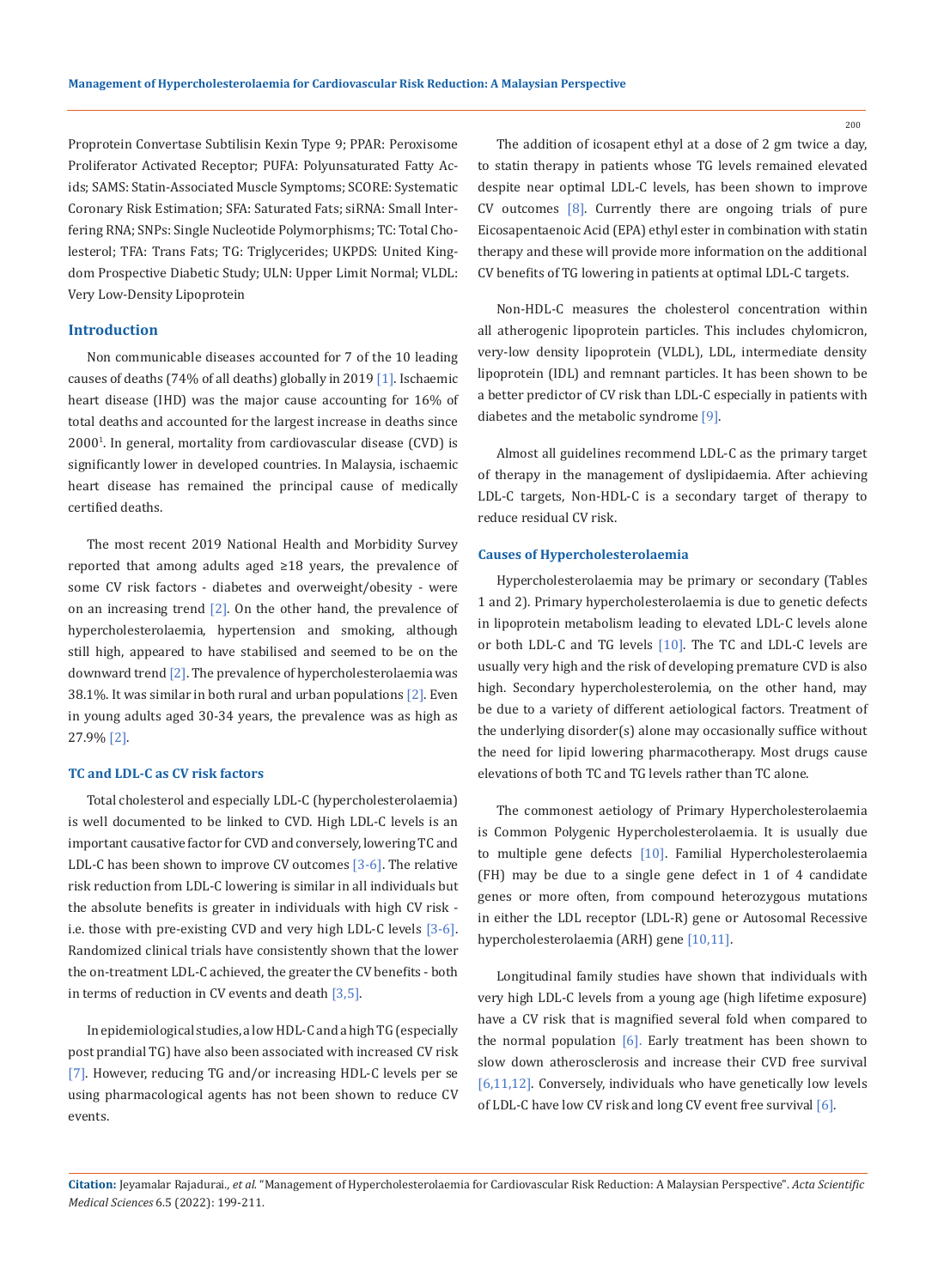Proprotein Convertase Subtilisin Kexin Type 9; PPAR: Peroxisome Proliferator Activated Receptor; PUFA: Polyunsaturated Fatty Acids; SAMS: Statin-Associated Muscle Symptoms; SCORE: Systematic Coronary Risk Estimation; SFA: Saturated Fats; siRNA: Small Interfering RNA; SNPs: Single Nucleotide Polymorphisms; TC: Total Cholesterol; TFA: Trans Fats; TG: Triglycerides; UKPDS: United Kingdom Prospective Diabetic Study; ULN: Upper Limit Normal; VLDL: Very Low-Density Lipoprotein

## **Introduction**

Non communicable diseases accounted for 7 of the 10 leading causes of deaths (74% of all deaths) globally in 2019 [1]. Ischaemic heart disease (IHD) was the major cause accounting for 16% of total deaths and accounted for the largest increase in deaths since 2000<sup>1</sup> . In general, mortality from cardiovascular disease (CVD) is significantly lower in developed countries. In Malaysia, ischaemic heart disease has remained the principal cause of medically certified deaths.

The most recent 2019 National Health and Morbidity Survey reported that among adults aged ≥18 years, the prevalence of some CV risk factors - diabetes and overweight/obesity - were on an increasing trend  $[2]$ . On the other hand, the prevalence of hypercholesterolaemia, hypertension and smoking, although still high, appeared to have stabilised and seemed to be on the downward trend [2]. The prevalence of hypercholesterolaemia was 38.1%. It was similar in both rural and urban populations  $[2]$ . Even in young adults aged 30-34 years, the prevalence was as high as 27.9% [2].

#### **TC and LDL-C as CV risk factors**

Total cholesterol and especially LDL-C (hypercholesterolaemia) is well documented to be linked to CVD. High LDL-C levels is an important causative factor for CVD and conversely, lowering TC and LDL-C has been shown to improve CV outcomes  $[3-6]$ . The relative risk reduction from LDL-C lowering is similar in all individuals but the absolute benefits is greater in individuals with high CV risk i.e. those with pre-existing CVD and very high LDL-C levels [3-6]. Randomized clinical trials have consistently shown that the lower the on-treatment LDL-C achieved, the greater the CV benefits - both in terms of reduction in CV events and death [3,5].

In epidemiological studies, a low HDL-C and a high TG (especially post prandial TG) have also been associated with increased CV risk [7]. However, reducing TG and/or increasing HDL-C levels per se using pharmacological agents has not been shown to reduce CV events.

The addition of icosapent ethyl at a dose of 2 gm twice a day, to statin therapy in patients whose TG levels remained elevated despite near optimal LDL-C levels, has been shown to improve CV outcomes [8]. Currently there are ongoing trials of pure Eicosapentaenoic Acid (EPA) ethyl ester in combination with statin therapy and these will provide more information on the additional CV benefits of TG lowering in patients at optimal LDL-C targets.

Non-HDL-C measures the cholesterol concentration within all atherogenic lipoprotein particles. This includes chylomicron, very-low density lipoprotein (VLDL), LDL, intermediate density lipoprotein (IDL) and remnant particles. It has been shown to be a better predictor of CV risk than LDL-C especially in patients with diabetes and the metabolic syndrome [9].

Almost all guidelines recommend LDL-C as the primary target of therapy in the management of dyslipidaemia. After achieving LDL-C targets, Non-HDL-C is a secondary target of therapy to reduce residual CV risk.

## **Causes of Hypercholesterolaemia**

Hypercholesterolaemia may be primary or secondary (Tables 1 and 2). Primary hypercholesterolaemia is due to genetic defects in lipoprotein metabolism leading to elevated LDL-C levels alone or both LDL-C and TG levels [10]. The TC and LDL-C levels are usually very high and the risk of developing premature CVD is also high. Secondary hypercholesterolemia, on the other hand, may be due to a variety of different aetiological factors. Treatment of the underlying disorder(s) alone may occasionally suffice without the need for lipid lowering pharmacotherapy. Most drugs cause elevations of both TC and TG levels rather than TC alone.

The commonest aetiology of Primary Hypercholesterolaemia is Common Polygenic Hypercholesterolaemia. It is usually due to multiple gene defects [10]. Familial Hypercholesterolaemia (FH) may be due to a single gene defect in 1 of 4 candidate genes or more often, from compound heterozygous mutations in either the LDL receptor (LDL-R) gene or Autosomal Recessive hypercholesterolaemia (ARH) gene [10,11].

Longitudinal family studies have shown that individuals with very high LDL-C levels from a young age (high lifetime exposure) have a CV risk that is magnified several fold when compared to the normal population [6]. Early treatment has been shown to slow down atherosclerosis and increase their CVD free survival [6,11,12]. Conversely, individuals who have genetically low levels of LDL-C have low CV risk and long CV event free survival [6].

**Citation:** Jeyamalar Rajadurai*., et al.* "Management of Hypercholesterolaemia for Cardiovascular Risk Reduction: A Malaysian Perspective". *Acta Scientific Medical Sciences* 6.5 (2022): 199-211.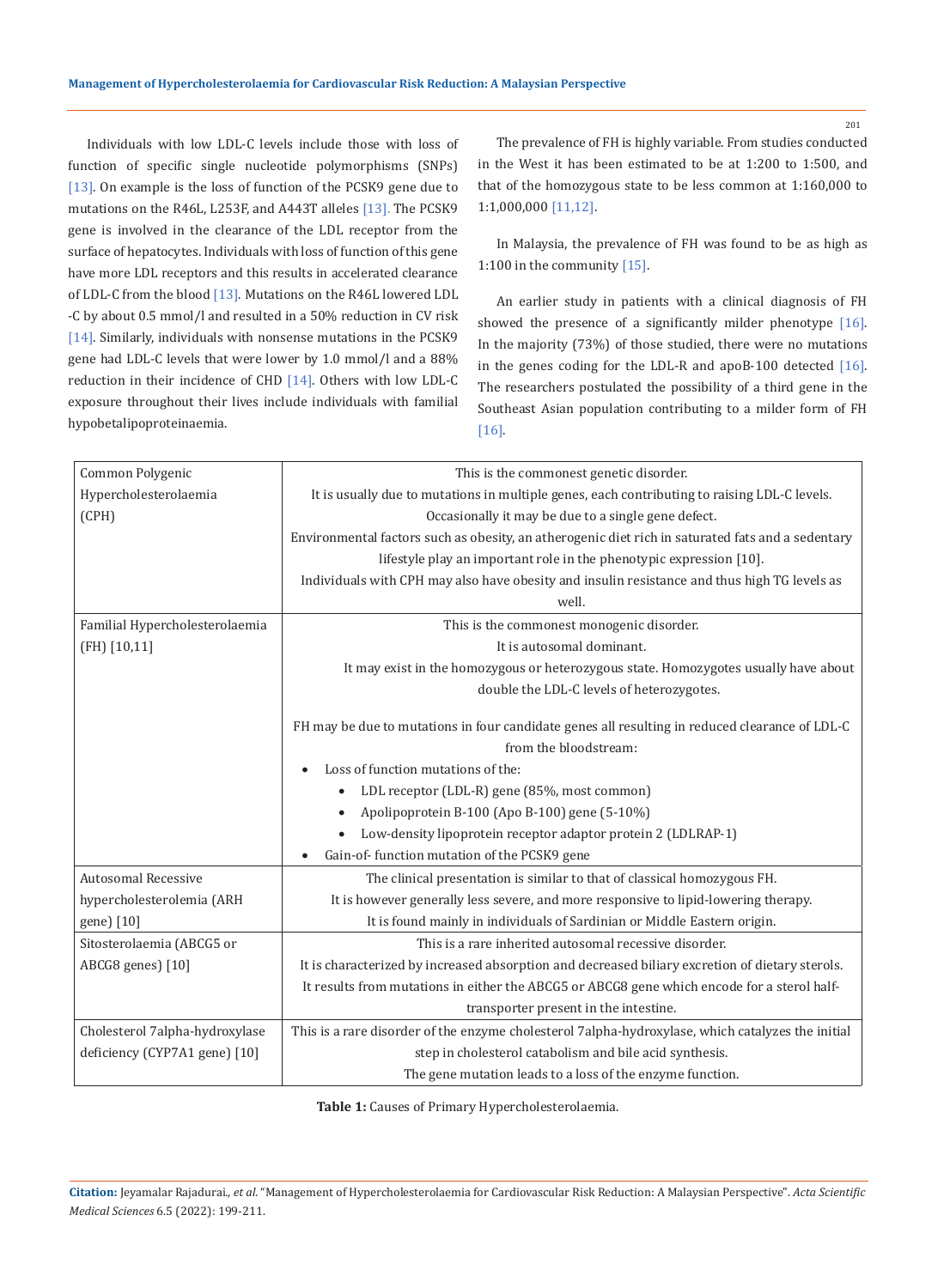Individuals with low LDL-C levels include those with loss of function of specific single nucleotide polymorphisms (SNPs) [13]. On example is the loss of function of the PCSK9 gene due to mutations on the R46L, L253F, and A443T alleles [13]. The PCSK9 gene is involved in the clearance of the LDL receptor from the surface of hepatocytes. Individuals with loss of function of this gene have more LDL receptors and this results in accelerated clearance of LDL-C from the blood [13]. Mutations on the R46L lowered LDL -C by about 0.5 mmol/l and resulted in a 50% reduction in CV risk [14]. Similarly, individuals with nonsense mutations in the PCSK9 gene had LDL-C levels that were lower by 1.0 mmol/l and a 88% reduction in their incidence of CHD [14]. Others with low LDL-C exposure throughout their lives include individuals with familial hypobetalipoproteinaemia.

The prevalence of FH is highly variable. From studies conducted in the West it has been estimated to be at 1:200 to 1:500, and that of the homozygous state to be less common at 1:160,000 to 1:1,000,000 [11,12].

In Malaysia, the prevalence of FH was found to be as high as 1:100 in the community [15].

An earlier study in patients with a clinical diagnosis of FH showed the presence of a significantly milder phenotype [16]. In the majority (73%) of those studied, there were no mutations in the genes coding for the LDL-R and apoB-100 detected [16]. The researchers postulated the possibility of a third gene in the Southeast Asian population contributing to a milder form of FH [16].

| Common Polygenic               | This is the commonest genetic disorder.                                                           |  |  |
|--------------------------------|---------------------------------------------------------------------------------------------------|--|--|
| Hypercholesterolaemia          | It is usually due to mutations in multiple genes, each contributing to raising LDL-C levels.      |  |  |
| (CPH)                          | Occasionally it may be due to a single gene defect.                                               |  |  |
|                                | Environmental factors such as obesity, an atherogenic diet rich in saturated fats and a sedentary |  |  |
|                                | lifestyle play an important role in the phenotypic expression [10].                               |  |  |
|                                | Individuals with CPH may also have obesity and insulin resistance and thus high TG levels as      |  |  |
|                                | well.                                                                                             |  |  |
| Familial Hypercholesterolaemia | This is the commonest monogenic disorder.                                                         |  |  |
| $(FH)$ [10,11]                 | It is autosomal dominant.                                                                         |  |  |
|                                | It may exist in the homozygous or heterozygous state. Homozygotes usually have about              |  |  |
|                                | double the LDL-C levels of heterozygotes.                                                         |  |  |
|                                |                                                                                                   |  |  |
|                                | FH may be due to mutations in four candidate genes all resulting in reduced clearance of LDL-C    |  |  |
|                                | from the bloodstream:                                                                             |  |  |
|                                | Loss of function mutations of the:                                                                |  |  |
|                                | LDL receptor (LDL-R) gene (85%, most common)<br>$\bullet$                                         |  |  |
|                                | Apolipoprotein B-100 (Apo B-100) gene (5-10%)<br>$\bullet$                                        |  |  |
|                                | Low-density lipoprotein receptor adaptor protein 2 (LDLRAP-1)                                     |  |  |
|                                | Gain-of-function mutation of the PCSK9 gene                                                       |  |  |
| <b>Autosomal Recessive</b>     | The clinical presentation is similar to that of classical homozygous FH.                          |  |  |
| hypercholesterolemia (ARH      | It is however generally less severe, and more responsive to lipid-lowering therapy.               |  |  |
| gene) [10]                     | It is found mainly in individuals of Sardinian or Middle Eastern origin.                          |  |  |
| Sitosterolaemia (ABCG5 or      | This is a rare inherited autosomal recessive disorder.                                            |  |  |
| ABCG8 genes) [10]              | It is characterized by increased absorption and decreased biliary excretion of dietary sterols.   |  |  |
|                                | It results from mutations in either the ABCG5 or ABCG8 gene which encode for a sterol half-       |  |  |
|                                | transporter present in the intestine.                                                             |  |  |
| Cholesterol 7alpha-hydroxylase | This is a rare disorder of the enzyme cholesterol 7alpha-hydroxylase, which catalyzes the initial |  |  |
| deficiency (CYP7A1 gene) [10]  | step in cholesterol catabolism and bile acid synthesis.                                           |  |  |
|                                | The gene mutation leads to a loss of the enzyme function.                                         |  |  |

**Table 1:** Causes of Primary Hypercholesterolaemia.

**Citation:** Jeyamalar Rajadurai*., et al.* "Management of Hypercholesterolaemia for Cardiovascular Risk Reduction: A Malaysian Perspective". *Acta Scientific Medical Sciences* 6.5 (2022): 199-211.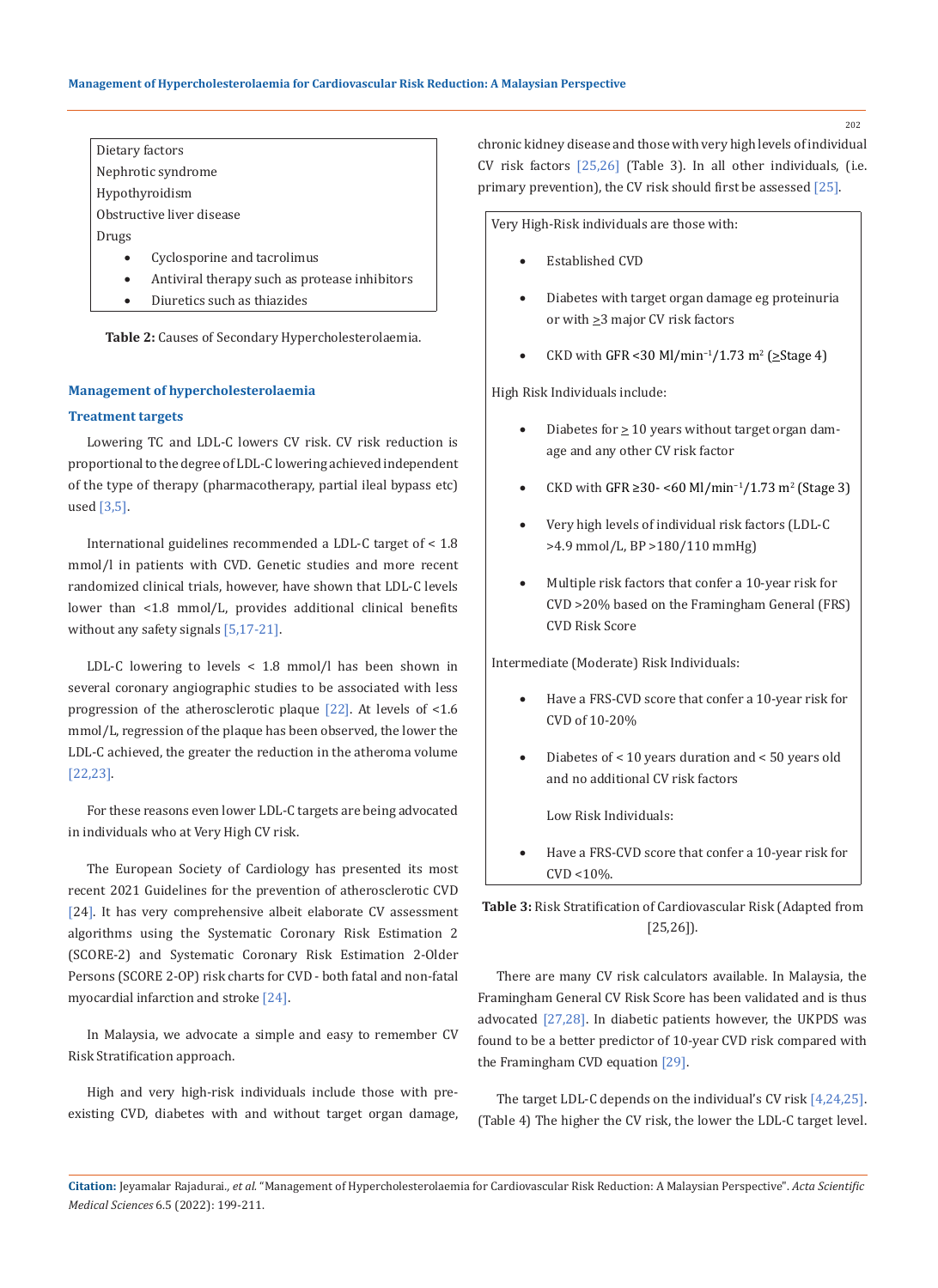Dietary factors Nephrotic syndrome Hypothyroidism Obstructive liver disease

Drugs

- Cyclosporine and tacrolimus
- Antiviral therapy such as protease inhibitors
- Diuretics such as thiazides

**Table 2:** Causes of Secondary Hypercholesterolaemia.

#### **Management of hypercholesterolaemia**

## **Treatment targets**

Lowering TC and LDL-C lowers CV risk. CV risk reduction is proportional to the degree of LDL-C lowering achieved independent of the type of therapy (pharmacotherapy, partial ileal bypass etc) used  $[3,5]$ .

International guidelines recommended a LDL-C target of < 1.8 mmol/l in patients with CVD. Genetic studies and more recent randomized clinical trials, however, have shown that LDL-C levels lower than <1.8 mmol/L, provides additional clinical benefits without any safety signals [5,17-21].

LDL-C lowering to levels < 1.8 mmol/l has been shown in several coronary angiographic studies to be associated with less progression of the atherosclerotic plaque [22]. At levels of <1.6 mmol/L, regression of the plaque has been observed, the lower the LDL-C achieved, the greater the reduction in the atheroma volume [22,23].

For these reasons even lower LDL-C targets are being advocated in individuals who at Very High CV risk.

The European Society of Cardiology has presented its most recent 2021 Guidelines for the prevention of atherosclerotic CVD [24]. It has very comprehensive albeit elaborate CV assessment algorithms using the Systematic Coronary Risk Estimation 2 (SCORE-2) and Systematic Coronary Risk Estimation 2-Older Persons (SCORE 2-OP) risk charts for CVD - both fatal and non-fatal myocardial infarction and stroke [24].

In Malaysia, we advocate a simple and easy to remember CV Risk Stratification approach.

High and very high-risk individuals include those with preexisting CVD, diabetes with and without target organ damage, chronic kidney disease and those with very high levels of individual CV risk factors [25,26] (Table 3). In all other individuals, (i.e. primary prevention), the CV risk should first be assessed [25].

Very High-Risk individuals are those with:

- Established CVD
- Diabetes with target organ damage eg proteinuria or with  $\geq$ 3 major CV risk factors
- CKD with GFR <30 Ml/min<sup>-1</sup>/1.73 m<sup>2</sup> (≥Stage 4)

High Risk Individuals include:

- Diabetes for  $\geq 10$  years without target organ damage and any other CV risk factor
- CKD with GFR ≥30- <60 Ml/min<sup>-1</sup>/1.73 m<sup>2</sup> (Stage 3)
- Very high levels of individual risk factors (LDL-C >4.9 mmol/L, BP >180/110 mmHg)
- Multiple risk factors that confer a 10-year risk for CVD >20% based on the Framingham General (FRS) CVD Risk Score

Intermediate (Moderate) Risk Individuals:

- Have a FRS-CVD score that confer a 10-year risk for CVD of 10-20%
- • Diabetes of < 10 years duration and < 50 years old and no additional CV risk factors

Low Risk Individuals:

Have a FRS-CVD score that confer a 10-year risk for  $CVD < 10\%$ .

**Table 3:** Risk Stratification of Cardiovascular Risk (Adapted from [25,26]).

There are many CV risk calculators available. In Malaysia, the Framingham General CV Risk Score has been validated and is thus advocated [27,28]. In diabetic patients however, the UKPDS was found to be a better predictor of 10-year CVD risk compared with the Framingham CVD equation [29].

The target LDL-C depends on the individual's CV risk [4,24,25]. (Table 4) The higher the CV risk, the lower the LDL-C target level.

**Citation:** Jeyamalar Rajadurai*., et al.* "Management of Hypercholesterolaemia for Cardiovascular Risk Reduction: A Malaysian Perspective". *Acta Scientific Medical Sciences* 6.5 (2022): 199-211.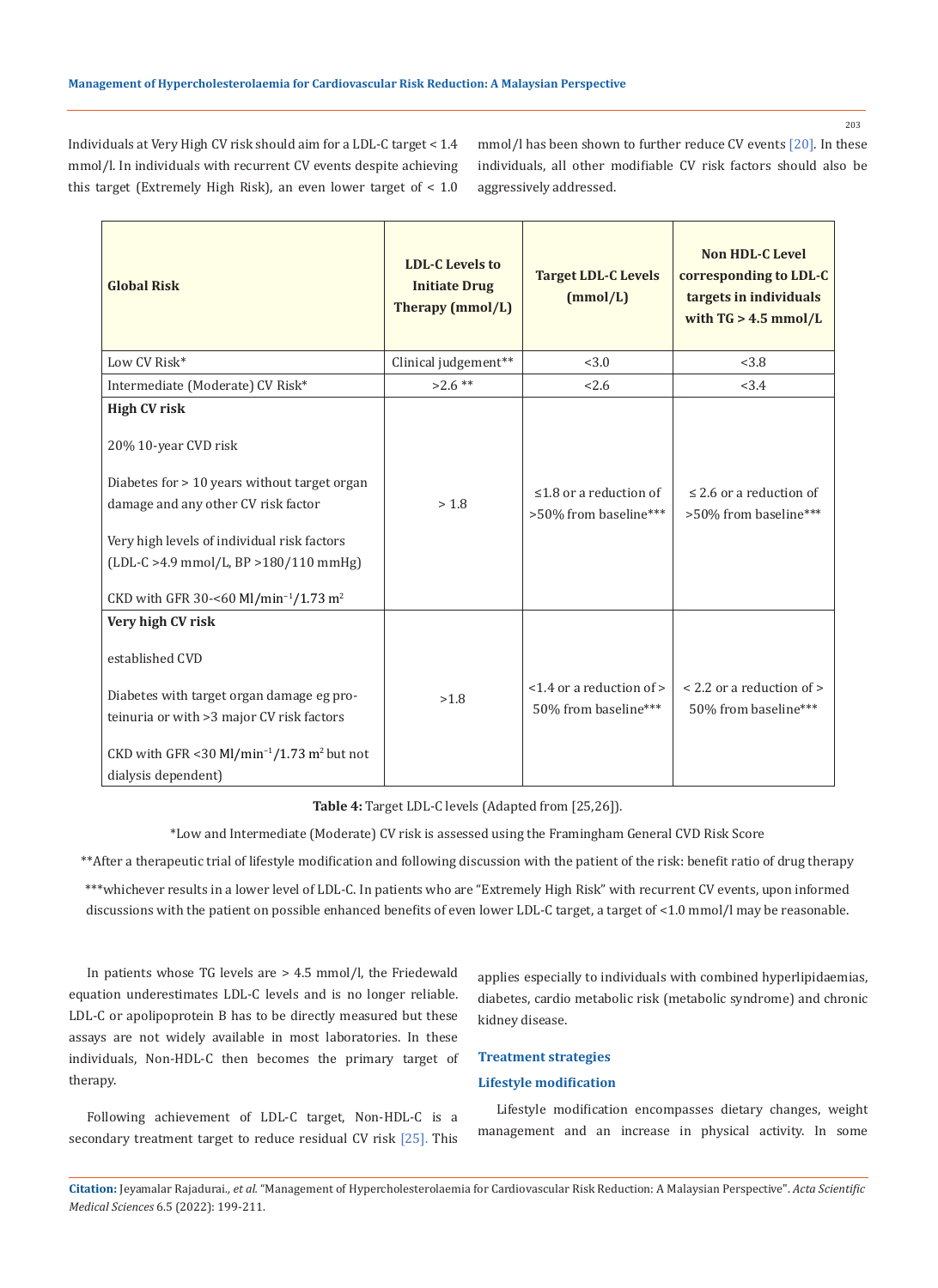Individuals at Very High CV risk should aim for a LDL-C target < 1.4 mmol/l. In individuals with recurrent CV events despite achieving this target (Extremely High Risk), an even lower target of < 1.0

mmol/l has been shown to further reduce CV events [20]. In these individuals, all other modifiable CV risk factors should also be aggressively addressed.

| <b>Global Risk</b>                                                                                                                                                                                                                                                                                | <b>LDL-C Levels to</b><br><b>Initiate Drug</b><br>Therapy (mmol/L) | <b>Target LDL-C Levels</b><br>(mmol/L)                | <b>Non HDL-C Level</b><br>corresponding to LDL-C<br>targets in individuals<br>with $TG > 4.5$ mmol/L |
|---------------------------------------------------------------------------------------------------------------------------------------------------------------------------------------------------------------------------------------------------------------------------------------------------|--------------------------------------------------------------------|-------------------------------------------------------|------------------------------------------------------------------------------------------------------|
| Low CV Risk*                                                                                                                                                                                                                                                                                      | Clinical judgement**                                               | <3.0                                                  | < 3.8                                                                                                |
| Intermediate (Moderate) CV Risk*                                                                                                                                                                                                                                                                  | $>2.6**$                                                           | 2.6                                                   | <3.4                                                                                                 |
| <b>High CV risk</b><br>20% 10-year CVD risk<br>Diabetes for > 10 years without target organ<br>damage and any other CV risk factor<br>Very high levels of individual risk factors<br>$(LDL-C > 4.9$ mmol/L, BP $> 180/110$ mmHg)<br>CKD with GFR 30-<60 Ml/min <sup>-1</sup> /1.73 m <sup>2</sup> | > 1.8                                                              | $\leq$ 1.8 or a reduction of<br>>50% from baseline*** | $\leq$ 2.6 or a reduction of<br>>50% from baseline***                                                |
| Very high CV risk<br>established CVD<br>Diabetes with target organ damage eg pro-<br>teinuria or with > 3 major CV risk factors<br>CKD with GFR <30 Ml/min <sup>-1</sup> /1.73 m <sup>2</sup> but not<br>dialysis dependent)                                                                      | >1.8                                                               | <1.4 or a reduction of ><br>50% from baseline***      | < 2.2 or a reduction of ><br>50% from baseline***                                                    |

**Table 4:** Target LDL-C levels (Adapted from [25,26]).

\*Low and Intermediate (Moderate) CV risk is assessed using the Framingham General CVD Risk Score

\*\*After a therapeutic trial of lifestyle modification and following discussion with the patient of the risk: benefit ratio of drug therapy

\*\*\*whichever results in a lower level of LDL-C. In patients who are "Extremely High Risk" with recurrent CV events, upon informed discussions with the patient on possible enhanced benefits of even lower LDL-C target, a target of <1.0 mmol/l may be reasonable.

In patients whose TG levels are > 4.5 mmol/l, the Friedewald equation underestimates LDL-C levels and is no longer reliable. LDL-C or apolipoprotein B has to be directly measured but these assays are not widely available in most laboratories. In these individuals, Non-HDL-C then becomes the primary target of therapy.

Following achievement of LDL-C target, Non-HDL-C is a secondary treatment target to reduce residual CV risk [25]. This applies especially to individuals with combined hyperlipidaemias, diabetes, cardio metabolic risk (metabolic syndrome) and chronic kidney disease.

## **Treatment strategies**

# **Lifestyle modification**

Lifestyle modification encompasses dietary changes, weight management and an increase in physical activity. In some

**Citation:** Jeyamalar Rajadurai*., et al.* "Management of Hypercholesterolaemia for Cardiovascular Risk Reduction: A Malaysian Perspective". *Acta Scientific Medical Sciences* 6.5 (2022): 199-211.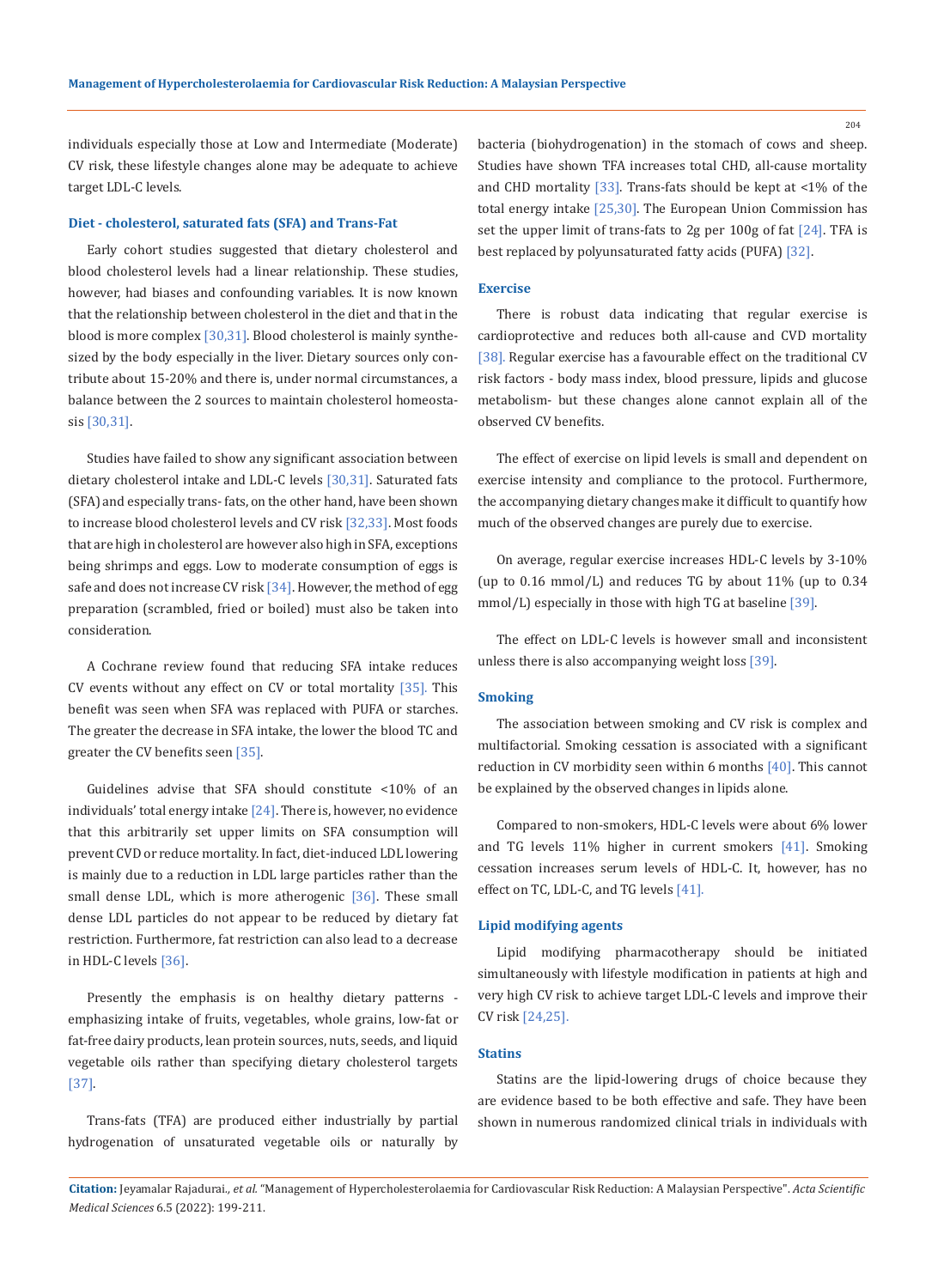204

individuals especially those at Low and Intermediate (Moderate) CV risk, these lifestyle changes alone may be adequate to achieve target LDL-C levels.

### **Diet - cholesterol, saturated fats (SFA) and Trans-Fat**

Early cohort studies suggested that dietary cholesterol and blood cholesterol levels had a linear relationship. These studies, however, had biases and confounding variables. It is now known that the relationship between cholesterol in the diet and that in the blood is more complex [30,31]. Blood cholesterol is mainly synthesized by the body especially in the liver. Dietary sources only contribute about 15-20% and there is, under normal circumstances, a balance between the 2 sources to maintain cholesterol homeostasis [30,31].

Studies have failed to show any significant association between dietary cholesterol intake and LDL-C levels [30,31]. Saturated fats (SFA) and especially trans- fats, on the other hand, have been shown to increase blood cholesterol levels and CV risk [32,33]. Most foods that are high in cholesterol are however also high in SFA, exceptions being shrimps and eggs. Low to moderate consumption of eggs is safe and does not increase CV risk [34]. However, the method of egg preparation (scrambled, fried or boiled) must also be taken into consideration.

A Cochrane review found that reducing SFA intake reduces CV events without any effect on CV or total mortality  $[35]$ . This benefit was seen when SFA was replaced with PUFA or starches. The greater the decrease in SFA intake, the lower the blood TC and greater the CV benefits seen [35].

Guidelines advise that SFA should constitute <10% of an individuals' total energy intake  $[24]$ . There is, however, no evidence that this arbitrarily set upper limits on SFA consumption will prevent CVD or reduce mortality. In fact, diet-induced LDL lowering is mainly due to a reduction in LDL large particles rather than the small dense LDL, which is more atherogenic [36]. These small dense LDL particles do not appear to be reduced by dietary fat restriction. Furthermore, fat restriction can also lead to a decrease in HDL-C levels [36].

Presently the emphasis is on healthy dietary patterns emphasizing intake of fruits, vegetables, whole grains, low-fat or fat-free dairy products, lean protein sources, nuts, seeds, and liquid vegetable oils rather than specifying dietary cholesterol targets [37].

Trans-fats (TFA) are produced either industrially by partial hydrogenation of unsaturated vegetable oils or naturally by bacteria (biohydrogenation) in the stomach of cows and sheep. Studies have shown TFA increases total CHD, all-cause mortality and CHD mortality [33]. Trans-fats should be kept at <1% of the total energy intake [25,30]. The European Union Commission has set the upper limit of trans-fats to 2g per 100g of fat [24]. TFA is best replaced by polyunsaturated fatty acids (PUFA) [32].

### **Exercise**

There is robust data indicating that regular exercise is cardioprotective and reduces both all-cause and CVD mortality [38]. Regular exercise has a favourable effect on the traditional CV risk factors - body mass index, blood pressure, lipids and glucose metabolism- but these changes alone cannot explain all of the observed CV benefits.

The effect of exercise on lipid levels is small and dependent on exercise intensity and compliance to the protocol. Furthermore, the accompanying dietary changes make it difficult to quantify how much of the observed changes are purely due to exercise.

On average, regular exercise increases HDL-C levels by 3-10% (up to 0.16 mmol/L) and reduces TG by about 11% (up to 0.34 mmol/L) especially in those with high TG at baseline [39].

The effect on LDL-C levels is however small and inconsistent unless there is also accompanying weight loss [39].

#### **Smoking**

The association between smoking and CV risk is complex and multifactorial. Smoking cessation is associated with a significant reduction in CV morbidity seen within 6 months [40]. This cannot be explained by the observed changes in lipids alone.

Compared to non-smokers, HDL-C levels were about 6% lower and TG levels 11% higher in current smokers [41]. Smoking cessation increases serum levels of HDL-C. It, however, has no effect on TC, LDL-C, and TG levels [41].

### **Lipid modifying agents**

Lipid modifying pharmacotherapy should be initiated simultaneously with lifestyle modification in patients at high and very high CV risk to achieve target LDL-C levels and improve their CV risk [24,25].

## **Statins**

Statins are the lipid-lowering drugs of choice because they are evidence based to be both effective and safe. They have been shown in numerous randomized clinical trials in individuals with

**Citation:** Jeyamalar Rajadurai*., et al.* "Management of Hypercholesterolaemia for Cardiovascular Risk Reduction: A Malaysian Perspective". *Acta Scientific Medical Sciences* 6.5 (2022): 199-211.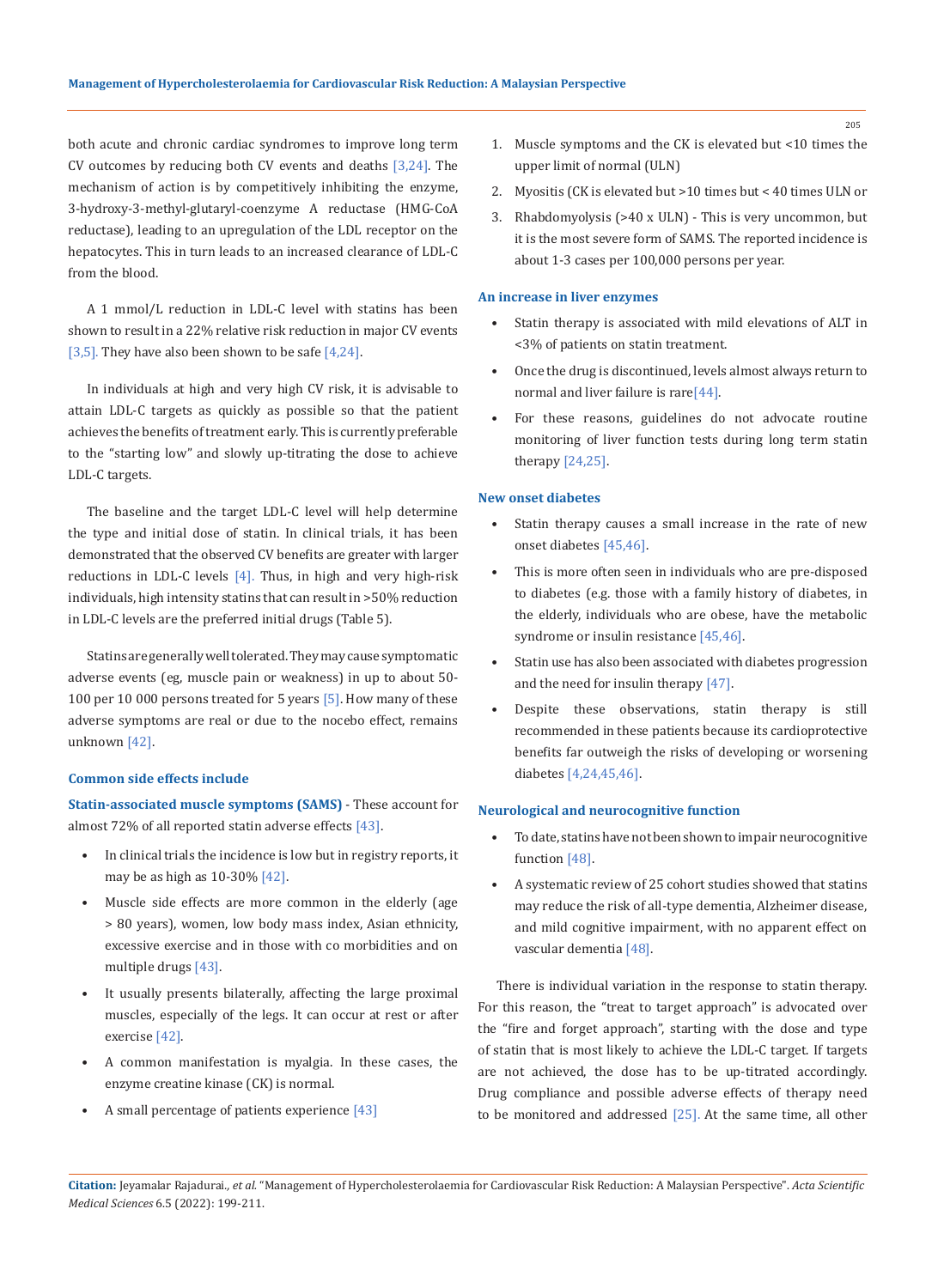both acute and chronic cardiac syndromes to improve long term CV outcomes by reducing both CV events and deaths  $[3,24]$ . The mechanism of action is by competitively inhibiting the enzyme, 3-hydroxy-3-methyl-glutaryl-coenzyme A reductase (HMG-CoA reductase), leading to an upregulation of the LDL receptor on the hepatocytes. This in turn leads to an increased clearance of LDL-C from the blood.

A 1 mmol/L reduction in LDL-C level with statins has been shown to result in a 22% relative risk reduction in major CV events [3,5]. They have also been shown to be safe  $[4,24]$ .

In individuals at high and very high CV risk, it is advisable to attain LDL-C targets as quickly as possible so that the patient achieves the benefits of treatment early. This is currently preferable to the "starting low" and slowly up-titrating the dose to achieve LDL-C targets.

The baseline and the target LDL-C level will help determine the type and initial dose of statin. In clinical trials, it has been demonstrated that the observed CV benefits are greater with larger reductions in LDL-C levels  $[4]$ . Thus, in high and very high-risk individuals, high intensity statins that can result in >50% reduction in LDL-C levels are the preferred initial drugs (Table 5).

Statins are generally well tolerated. They may cause symptomatic adverse events (eg, muscle pain or weakness) in up to about 50- 100 per 10 000 persons treated for 5 years [5]. How many of these adverse symptoms are real or due to the nocebo effect, remains unknown [42].

### **Common side effects include**

**Statin-associated muscle symptoms (SAMS)** - These account for almost 72% of all reported statin adverse effects [43].

- In clinical trials the incidence is low but in registry reports, it may be as high as 10-30% [42].
- Muscle side effects are more common in the elderly (age > 80 years), women, low body mass index, Asian ethnicity, excessive exercise and in those with co morbidities and on multiple drugs [43].
- It usually presents bilaterally, affecting the large proximal muscles, especially of the legs. It can occur at rest or after exercise [42].
- A common manifestation is myalgia. In these cases, the enzyme creatine kinase (CK) is normal.
- A small percentage of patients experience [43]
- 1. Muscle symptoms and the CK is elevated but <10 times the upper limit of normal (ULN)
- 2. Myositis (CK is elevated but >10 times but < 40 times ULN or
- 3. Rhabdomyolysis (>40 x ULN) This is very uncommon, but it is the most severe form of SAMS. The reported incidence is about 1-3 cases per 100,000 persons per year.

#### **An increase in liver enzymes**

- Statin therapy is associated with mild elevations of ALT in <3% of patients on statin treatment.
- Once the drug is discontinued, levels almost always return to normal and liver failure is rare[44].
- For these reasons, guidelines do not advocate routine monitoring of liver function tests during long term statin therapy [24,25].

## **New onset diabetes**

- Statin therapy causes a small increase in the rate of new onset diabetes [45,46].
- This is more often seen in individuals who are pre-disposed to diabetes (e.g. those with a family history of diabetes, in the elderly, individuals who are obese, have the metabolic syndrome or insulin resistance [45,46].
- Statin use has also been associated with diabetes progression and the need for insulin therapy [47].
- Despite these observations, statin therapy is still recommended in these patients because its cardioprotective benefits far outweigh the risks of developing or worsening diabetes [4,24,45,46].

#### **Neurological and neurocognitive function**

- To date, statins have not been shown to impair neurocognitive function [48].
- A systematic review of 25 cohort studies showed that statins may reduce the risk of all-type dementia, Alzheimer disease, and mild cognitive impairment, with no apparent effect on vascular dementia [48].

There is individual variation in the response to statin therapy. For this reason, the "treat to target approach" is advocated over the "fire and forget approach", starting with the dose and type of statin that is most likely to achieve the LDL-C target. If targets are not achieved, the dose has to be up-titrated accordingly. Drug compliance and possible adverse effects of therapy need to be monitored and addressed [25]. At the same time, all other

**Citation:** Jeyamalar Rajadurai*., et al.* "Management of Hypercholesterolaemia for Cardiovascular Risk Reduction: A Malaysian Perspective". *Acta Scientific Medical Sciences* 6.5 (2022): 199-211.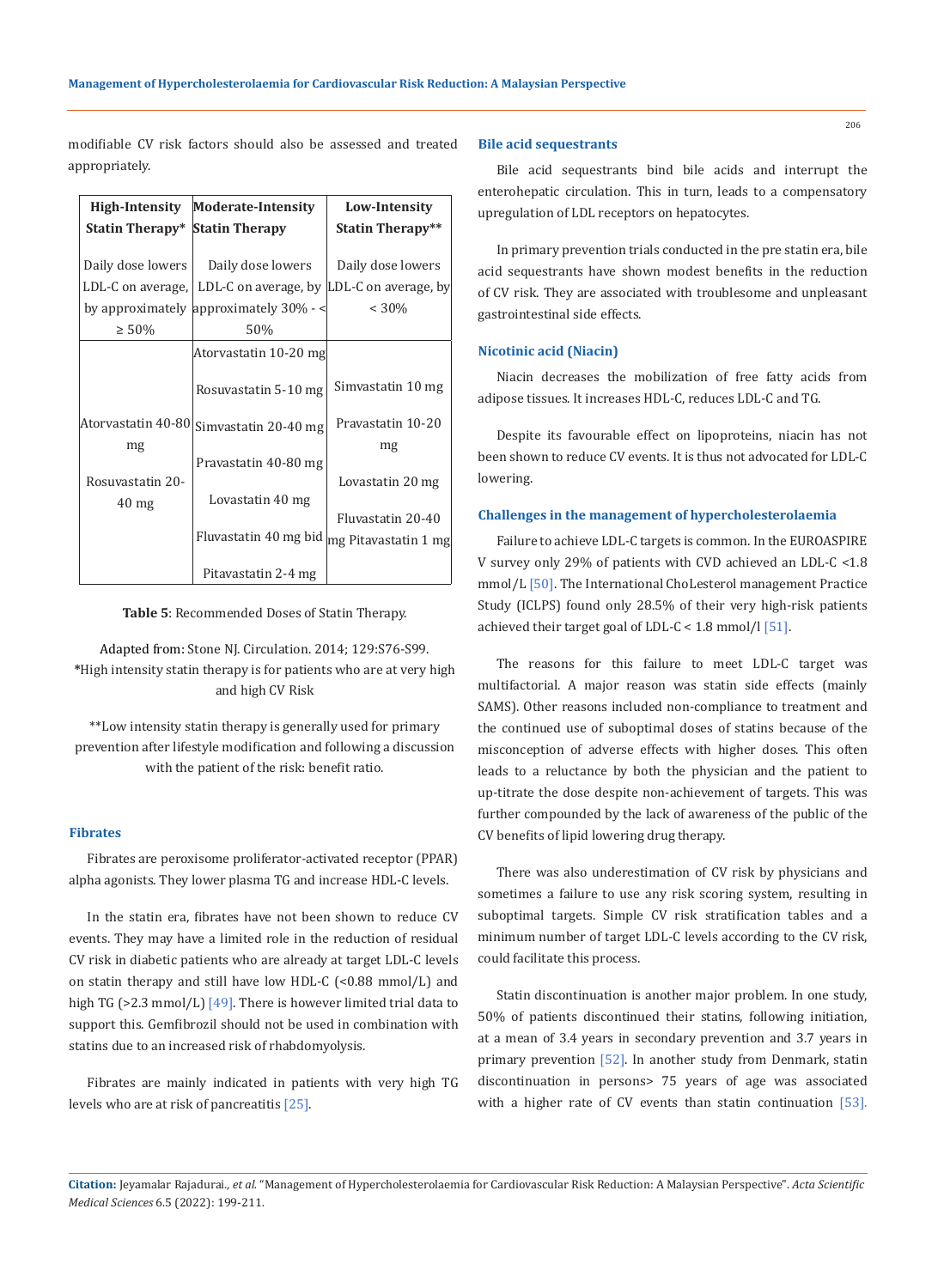modifiable CV risk factors should also be assessed and treated appropriately.

|                                       | High-Intensity Moderate-Intensity       | Low-Intensity           |
|---------------------------------------|-----------------------------------------|-------------------------|
| <b>Statin Therapy* Statin Therapy</b> |                                         | <b>Statin Therapy**</b> |
|                                       |                                         |                         |
| Daily dose lowers                     | Daily dose lowers                       | Daily dose lowers       |
| LDL-C on average,                     | LDL-C on average, by                    | LDL-C on average, by    |
|                                       | by approximately approximately $30\%$ - | $< 30\%$                |
| $\geq 50\%$                           | 50%                                     |                         |
|                                       | Atorvastatin 10-20 mg                   |                         |
|                                       | Rosuvastatin 5-10 mg                    | Simvastatin 10 mg       |
| Atorvastatin 40-80                    | Simvastatin 20-40 mg                    | Pravastatin 10-20       |
| mg                                    |                                         | mg                      |
|                                       | Pravastatin 40-80 mg                    |                         |
| Rosuvastatin 20-                      |                                         | Lovastatin 20 mg        |
| $40 \text{ mg}$                       | Lovastatin 40 mg                        |                         |
|                                       |                                         | Fluvastatin 20-40       |
|                                       | Fluvastatin 40 mg bid                   | mg Pitavastatin 1 mg    |
|                                       | Pitavastatin 2-4 mg                     |                         |

**Table 5**: Recommended Doses of Statin Therapy.

Adapted from: Stone NJ. Circulation. 2014; 129:S76-S99. **\***High intensity statin therapy is for patients who are at very high and high CV Risk

\*\*Low intensity statin therapy is generally used for primary prevention after lifestyle modification and following a discussion with the patient of the risk: benefit ratio.

### **Fibrates**

Fibrates are peroxisome proliferator-activated receptor (PPAR) alpha agonists. They lower plasma TG and increase HDL-C levels.

In the statin era, fibrates have not been shown to reduce CV events. They may have a limited role in the reduction of residual CV risk in diabetic patients who are already at target LDL-C levels on statin therapy and still have low HDL-C (<0.88 mmol/L) and high TG ( $>2.3$  mmol/L) [ $49$ ]. There is however limited trial data to support this. Gemfibrozil should not be used in combination with statins due to an increased risk of rhabdomyolysis.

Fibrates are mainly indicated in patients with very high TG levels who are at risk of pancreatitis [25].

#### **Bile acid sequestrants**

Bile acid sequestrants bind bile acids and interrupt the enterohepatic circulation. This in turn, leads to a compensatory upregulation of LDL receptors on hepatocytes.

In primary prevention trials conducted in the pre statin era, bile acid sequestrants have shown modest benefits in the reduction of CV risk. They are associated with troublesome and unpleasant gastrointestinal side effects.

#### **Nicotinic acid (Niacin)**

Niacin decreases the mobilization of free fatty acids from adipose tissues. It increases HDL-C, reduces LDL-C and TG.

Despite its favourable effect on lipoproteins, niacin has not been shown to reduce CV events. It is thus not advocated for LDL-C lowering.

## **Challenges in the management of hypercholesterolaemia**

Failure to achieve LDL-C targets is common. In the EUROASPIRE V survey only 29% of patients with CVD achieved an LDL-C <1.8 mmol/L [50]. The International ChoLesterol management Practice Study (ICLPS) found only 28.5% of their very high-risk patients achieved their target goal of LDL-C <  $1.8 \text{ mmol/l}$  [51].

The reasons for this failure to meet LDL-C target was multifactorial. A major reason was statin side effects (mainly SAMS). Other reasons included non-compliance to treatment and the continued use of suboptimal doses of statins because of the misconception of adverse effects with higher doses. This often leads to a reluctance by both the physician and the patient to up-titrate the dose despite non-achievement of targets. This was further compounded by the lack of awareness of the public of the CV benefits of lipid lowering drug therapy.

There was also underestimation of CV risk by physicians and sometimes a failure to use any risk scoring system, resulting in suboptimal targets. Simple CV risk stratification tables and a minimum number of target LDL-C levels according to the CV risk, could facilitate this process.

Statin discontinuation is another major problem. In one study, 50% of patients discontinued their statins, following initiation, at a mean of 3.4 years in secondary prevention and 3.7 years in primary prevention [52]. In another study from Denmark, statin discontinuation in persons> 75 years of age was associated with a higher rate of CV events than statin continuation [53].

**Citation:** Jeyamalar Rajadurai*., et al.* "Management of Hypercholesterolaemia for Cardiovascular Risk Reduction: A Malaysian Perspective". *Acta Scientific Medical Sciences* 6.5 (2022): 199-211.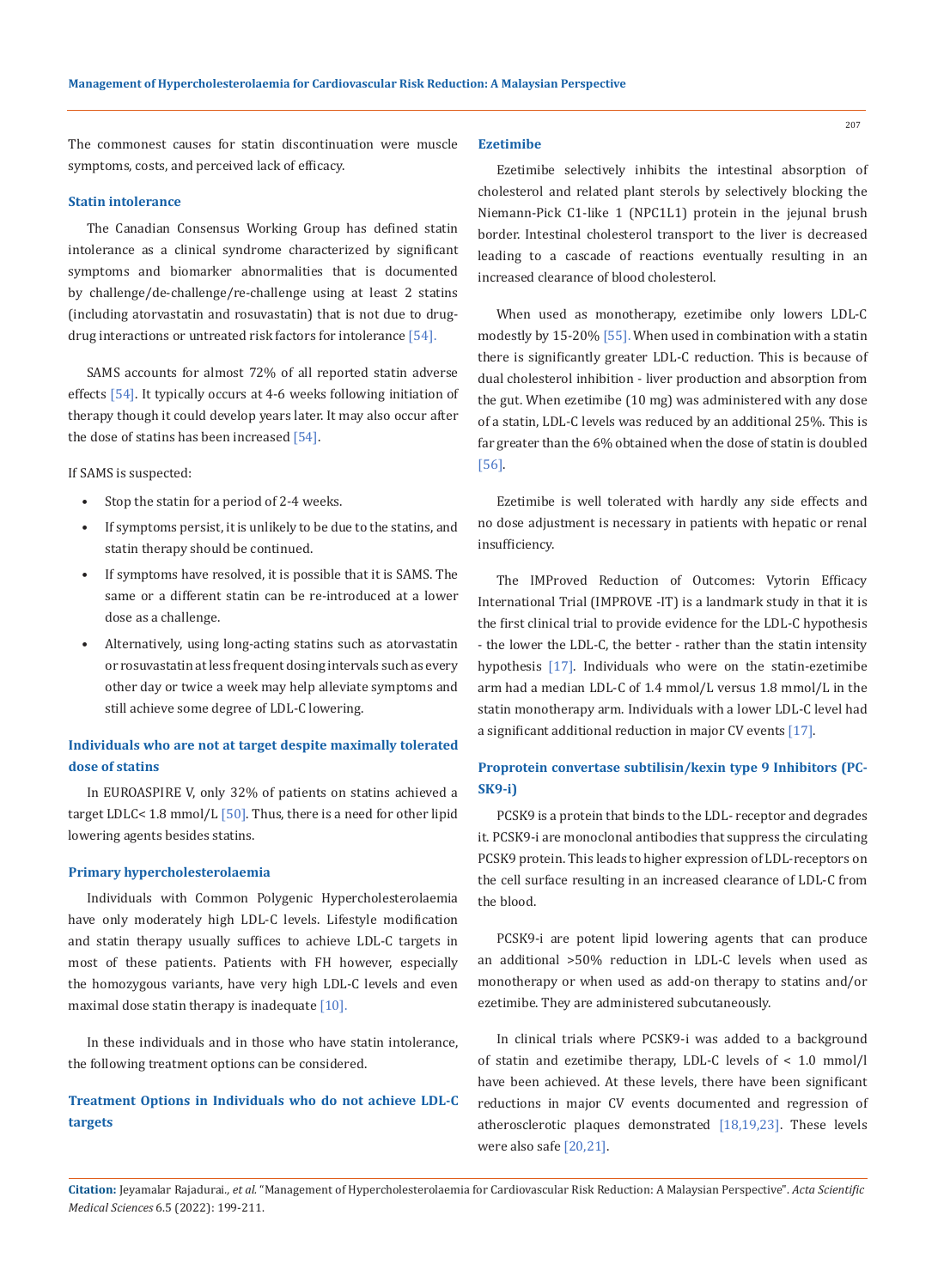The commonest causes for statin discontinuation were muscle symptoms, costs, and perceived lack of efficacy.

#### **Statin intolerance**

The Canadian Consensus Working Group has defined statin intolerance as a clinical syndrome characterized by significant symptoms and biomarker abnormalities that is documented by challenge/de-challenge/re-challenge using at least 2 statins (including atorvastatin and rosuvastatin) that is not due to drugdrug interactions or untreated risk factors for intolerance [54].

SAMS accounts for almost 72% of all reported statin adverse effects [54]. It typically occurs at 4-6 weeks following initiation of therapy though it could develop years later. It may also occur after the dose of statins has been increased [54].

If SAMS is suspected:

- Stop the statin for a period of 2-4 weeks.
- If symptoms persist, it is unlikely to be due to the statins, and statin therapy should be continued.
- If symptoms have resolved, it is possible that it is SAMS. The same or a different statin can be re-introduced at a lower dose as a challenge.
- Alternatively, using long-acting statins such as atorvastatin or rosuvastatin at less frequent dosing intervals such as every other day or twice a week may help alleviate symptoms and still achieve some degree of LDL-C lowering.

# **Individuals who are not at target despite maximally tolerated dose of statins**

In EUROASPIRE V, only 32% of patients on statins achieved a target LDLC< 1.8 mmol/L  $[50]$ . Thus, there is a need for other lipid lowering agents besides statins.

#### **Primary hypercholesterolaemia**

Individuals with Common Polygenic Hypercholesterolaemia have only moderately high LDL-C levels. Lifestyle modification and statin therapy usually suffices to achieve LDL-C targets in most of these patients. Patients with FH however, especially the homozygous variants, have very high LDL-C levels and even maximal dose statin therapy is inadequate [10].

In these individuals and in those who have statin intolerance, the following treatment options can be considered.

# **Treatment Options in Individuals who do not achieve LDL-C targets**

#### **Ezetimibe**

Ezetimibe selectively inhibits the intestinal absorption of cholesterol and related plant sterols by selectively blocking the Niemann-Pick C1-like 1 (NPC1L1) protein in the jejunal brush border. Intestinal cholesterol transport to the liver is decreased leading to a cascade of reactions eventually resulting in an increased clearance of blood cholesterol.

When used as monotherapy, ezetimibe only lowers LDL-C modestly by 15-20% [55]. When used in combination with a statin there is significantly greater LDL-C reduction. This is because of dual cholesterol inhibition - liver production and absorption from the gut. When ezetimibe (10 mg) was administered with any dose of a statin, LDL-C levels was reduced by an additional 25%. This is far greater than the 6% obtained when the dose of statin is doubled [56].

Ezetimibe is well tolerated with hardly any side effects and no dose adjustment is necessary in patients with hepatic or renal insufficiency.

The IMProved Reduction of Outcomes: Vytorin Efficacy International Trial (IMPROVE -IT) is a landmark study in that it is the first clinical trial to provide evidence for the LDL-C hypothesis - the lower the LDL-C, the better - rather than the statin intensity hypothesis [17]. Individuals who were on the statin-ezetimibe arm had a median LDL-C of 1.4 mmol/L versus 1.8 mmol/L in the statin monotherapy arm. Individuals with a lower LDL-C level had a significant additional reduction in major CV events [17].

# **Proprotein convertase subtilisin/kexin type 9 Inhibitors (PC-SK9-i)**

PCSK9 is a protein that binds to the LDL- receptor and degrades it. PCSK9-i are monoclonal antibodies that suppress the circulating PCSK9 protein. This leads to higher expression of LDL-receptors on the cell surface resulting in an increased clearance of LDL-C from the blood.

PCSK9-i are potent lipid lowering agents that can produce an additional >50% reduction in LDL-C levels when used as monotherapy or when used as add-on therapy to statins and/or ezetimibe. They are administered subcutaneously.

In clinical trials where PCSK9-i was added to a background of statin and ezetimibe therapy, LDL-C levels of < 1.0 mmol/l have been achieved. At these levels, there have been significant reductions in major CV events documented and regression of atherosclerotic plaques demonstrated [18,19,23]. These levels were also safe [20,21].

**Citation:** Jeyamalar Rajadurai*., et al.* "Management of Hypercholesterolaemia for Cardiovascular Risk Reduction: A Malaysian Perspective". *Acta Scientific Medical Sciences* 6.5 (2022): 199-211.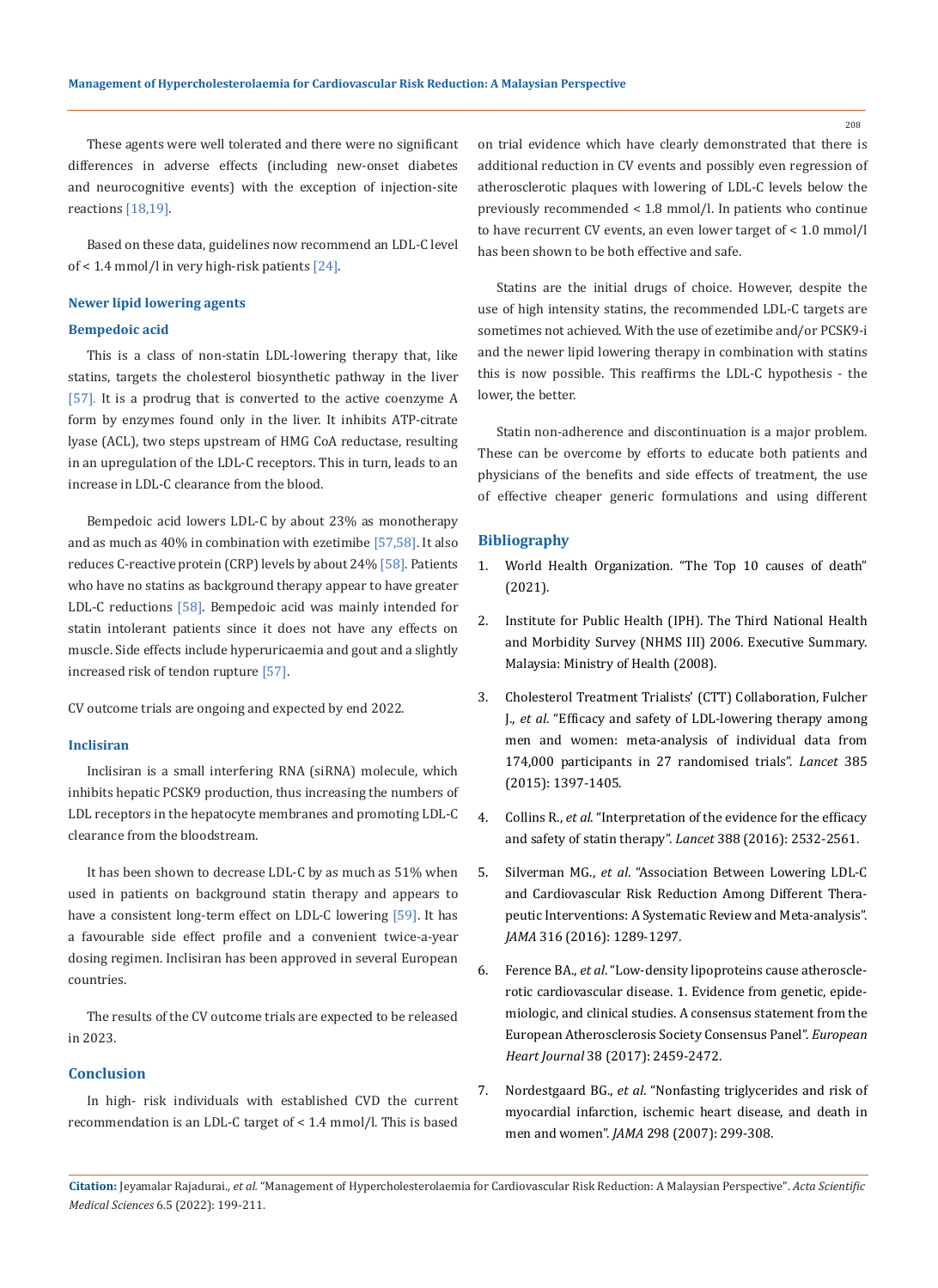208

These agents were well tolerated and there were no significant differences in adverse effects (including new-onset diabetes and neurocognitive events) with the exception of injection-site reactions [18,19].

Based on these data, guidelines now recommend an LDL-C level of < 1.4 mmol/l in very high-risk patients [24].

## **Newer lipid lowering agents**

## **Bempedoic acid**

This is a class of non-statin LDL-lowering therapy that, like statins, targets the cholesterol biosynthetic pathway in the liver [57]. It is a prodrug that is converted to the active coenzyme A form by enzymes found only in the liver. It inhibits ATP-citrate lyase (ACL), two steps upstream of HMG CoA reductase, resulting in an upregulation of the LDL-C receptors. This in turn, leads to an increase in LDL-C clearance from the blood.

Bempedoic acid lowers LDL-C by about 23% as monotherapy and as much as 40% in combination with ezetimibe [57,58]. It also reduces C-reactive protein (CRP) levels by about 24% [58]. Patients who have no statins as background therapy appear to have greater LDL-C reductions [58]. Bempedoic acid was mainly intended for statin intolerant patients since it does not have any effects on muscle. Side effects include hyperuricaemia and gout and a slightly increased risk of tendon rupture [57].

CV outcome trials are ongoing and expected by end 2022.

#### **Inclisiran**

Inclisiran is a small interfering RNA (siRNA) molecule, which inhibits hepatic PCSK9 production, thus increasing the numbers of LDL receptors in the hepatocyte membranes and promoting LDL-C clearance from the bloodstream.

It has been shown to decrease LDL-C by as much as 51% when used in patients on background statin therapy and appears to have a consistent long-term effect on LDL-C lowering [59]. It has a favourable side effect profile and a convenient twice-a-year dosing regimen. Inclisiran has been approved in several European countries.

The results of the CV outcome trials are expected to be released in 2023.

## **Conclusion**

In high- risk individuals with established CVD the current recommendation is an LDL-C target of < 1.4 mmol/l. This is based on trial evidence which have clearly demonstrated that there is additional reduction in CV events and possibly even regression of atherosclerotic plaques with lowering of LDL-C levels below the previously recommended < 1.8 mmol/l. In patients who continue to have recurrent CV events, an even lower target of < 1.0 mmol/l has been shown to be both effective and safe.

Statins are the initial drugs of choice. However, despite the use of high intensity statins, the recommended LDL-C targets are sometimes not achieved. With the use of ezetimibe and/or PCSK9-i and the newer lipid lowering therapy in combination with statins this is now possible. This reaffirms the LDL-C hypothesis - the lower, the better.

Statin non-adherence and discontinuation is a major problem. These can be overcome by efforts to educate both patients and physicians of the benefits and side effects of treatment, the use of effective cheaper generic formulations and using different

## **Bibliography**

- 1. [World Health Organization. "The Top 10 causes of death"](https://www.who.int/news-room/fact-sheets/detail/the-top-10-causes-of-death)  [\(2021\).](https://www.who.int/news-room/fact-sheets/detail/the-top-10-causes-of-death)
- 2. Institute for Public Health (IPH). The Third National Health and Morbidity Survey (NHMS III) 2006. Executive Summary. Malaysia: Ministry of Health (2008).
- 3. [Cholesterol Treatment Trialists' \(CTT\) Collaboration, Fulcher](https://pubmed.ncbi.nlm.nih.gov/25579834/)  J., *et al*[. "Efficacy and safety of LDL-lowering therapy among](https://pubmed.ncbi.nlm.nih.gov/25579834/)  [men and women: meta-analysis of individual data from](https://pubmed.ncbi.nlm.nih.gov/25579834/)  [174,000 participants in 27 randomised trials".](https://pubmed.ncbi.nlm.nih.gov/25579834/) *Lancet* 385 [\(2015\): 1397-1405.](https://pubmed.ncbi.nlm.nih.gov/25579834/)
- 4. Collins R., *et al*. "Interpretation of the evidence for the efficacy and safety of statin therapy". *Lancet* 388 (2016): 2532-2561.
- 5. Silverman MG., *et al*[. "Association Between Lowering LDL-C](https://pubmed.ncbi.nlm.nih.gov/27673306/)  [and Cardiovascular Risk Reduction Among Different Thera](https://pubmed.ncbi.nlm.nih.gov/27673306/)[peutic Interventions: A Systematic Review and Meta-analysis".](https://pubmed.ncbi.nlm.nih.gov/27673306/)  *JAMA* [316 \(2016\): 1289-1297.](https://pubmed.ncbi.nlm.nih.gov/27673306/)
- 6. Ference BA., *et al*[. "Low-density lipoproteins cause atheroscle](https://pubmed.ncbi.nlm.nih.gov/28444290/)[rotic cardiovascular disease. 1. Evidence from genetic, epide](https://pubmed.ncbi.nlm.nih.gov/28444290/)[miologic, and clinical studies. A consensus statement from the](https://pubmed.ncbi.nlm.nih.gov/28444290/)  [European Atherosclerosis Society Consensus Panel".](https://pubmed.ncbi.nlm.nih.gov/28444290/) *European Heart Journal* [38 \(2017\): 2459-2472.](https://pubmed.ncbi.nlm.nih.gov/28444290/)
- 7. Nordestgaard BG., *et al*[. "Nonfasting triglycerides and risk of](https://pubmed.ncbi.nlm.nih.gov/17635890/)  [myocardial infarction, ischemic heart disease, and death in](https://pubmed.ncbi.nlm.nih.gov/17635890/)  men and women". *JAMA* [298 \(2007\): 299-308.](https://pubmed.ncbi.nlm.nih.gov/17635890/)

**Citation:** Jeyamalar Rajadurai*., et al.* "Management of Hypercholesterolaemia for Cardiovascular Risk Reduction: A Malaysian Perspective". *Acta Scientific Medical Sciences* 6.5 (2022): 199-211.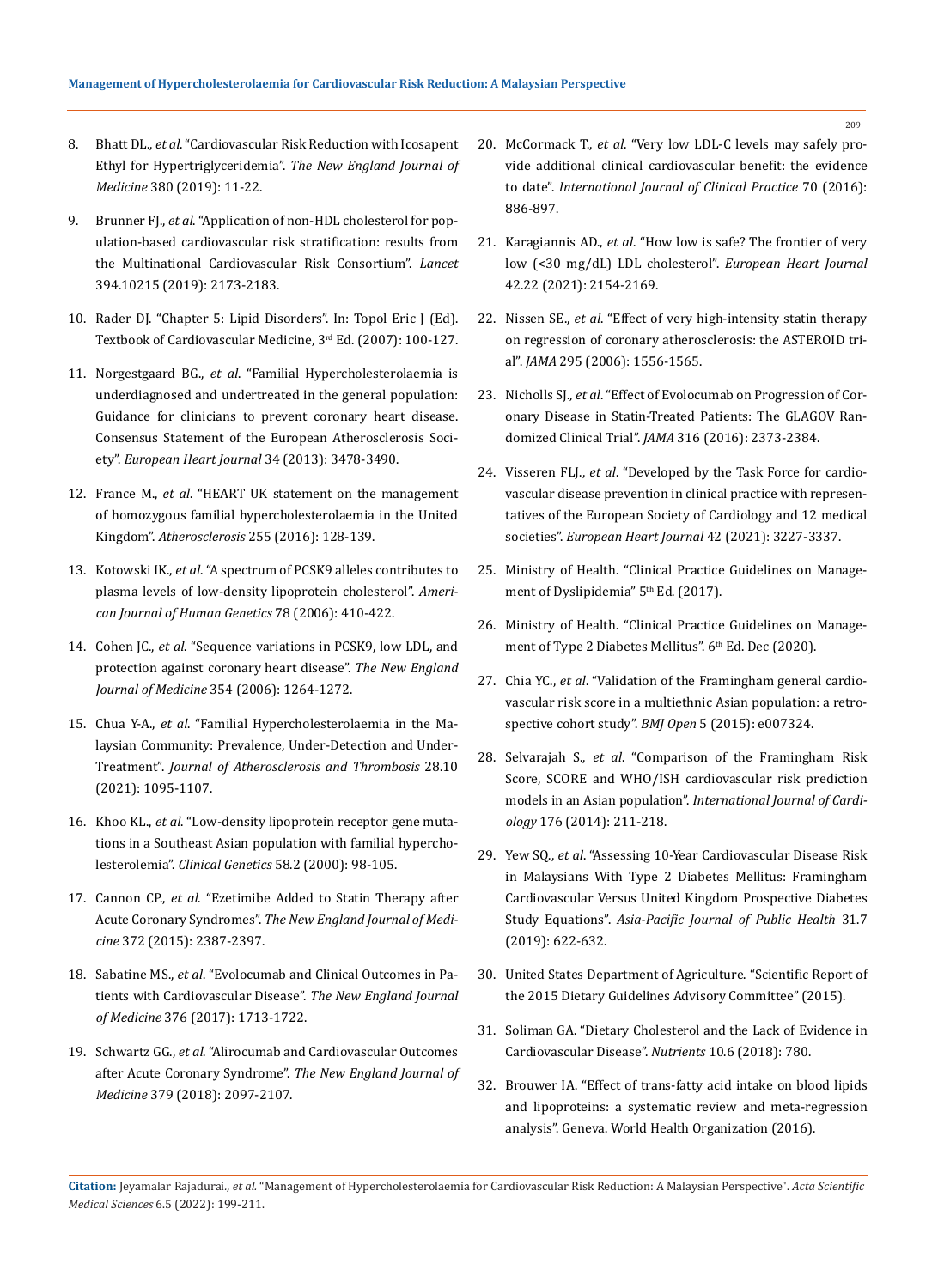- 8. Bhatt DL., *et al*[. "Cardiovascular Risk Reduction with Icosapent](https://www.nejm.org/doi/full/10.1056/nejmoa1812792)  Ethyl for Hypertriglyceridemia". *[The New England Journal of](https://www.nejm.org/doi/full/10.1056/nejmoa1812792)  Medicine* [380 \(2019\): 11-22.](https://www.nejm.org/doi/full/10.1056/nejmoa1812792)
- 9. Brunner FJ., *et al*[. "Application of non-HDL cholesterol for pop](https://www.thelancet.com/journals/lancet/article/PIIS0140-6736(19)32519-X/fulltext)[ulation-based cardiovascular risk stratification: results from](https://www.thelancet.com/journals/lancet/article/PIIS0140-6736(19)32519-X/fulltext)  [the Multinational Cardiovascular Risk Consortium".](https://www.thelancet.com/journals/lancet/article/PIIS0140-6736(19)32519-X/fulltext) *Lancet* [394.10215 \(2019\): 2173-2183.](https://www.thelancet.com/journals/lancet/article/PIIS0140-6736(19)32519-X/fulltext)
- 10. Rader DJ. "Chapter 5: Lipid Disorders". In: Topol Eric J (Ed). Textbook of Cardiovascular Medicine, 3rd Ed. (2007): 100-127.
- 11. Norgestgaard BG., *et al*[. "Familial Hypercholesterolaemia is](https://academic.oup.com/eurheartj/article/34/45/3478/435928)  [underdiagnosed and undertreated in the general population:](https://academic.oup.com/eurheartj/article/34/45/3478/435928)  [Guidance for clinicians to prevent coronary heart disease.](https://academic.oup.com/eurheartj/article/34/45/3478/435928)  [Consensus Statement of the European Atherosclerosis Soci](https://academic.oup.com/eurheartj/article/34/45/3478/435928)ety". *[European Heart Journal](https://academic.oup.com/eurheartj/article/34/45/3478/435928)* 34 (2013): 3478-3490.
- 12. France M., *et al*[. "HEART UK statement on the management](https://pubmed.ncbi.nlm.nih.gov/27839699/)  [of homozygous familial hypercholesterolaemia in the United](https://pubmed.ncbi.nlm.nih.gov/27839699/)  Kingdom". *Atherosclerosis* [255 \(2016\): 128-139.](https://pubmed.ncbi.nlm.nih.gov/27839699/)
- 13. Kotowski IK., *et al*[. "A spectrum of PCSK9 alleles contributes to](https://pubmed.ncbi.nlm.nih.gov/16465619/)  [plasma levels of low-density lipoprotein cholesterol".](https://pubmed.ncbi.nlm.nih.gov/16465619/) *Ameri[can Journal of Human Genetics](https://pubmed.ncbi.nlm.nih.gov/16465619/)* 78 (2006): 410-422.
- 14. Cohen JC., *et al*[. "Sequence variations in PCSK9, low LDL, and](https://pubmed.ncbi.nlm.nih.gov/16554528/)  [protection against coronary heart disease".](https://pubmed.ncbi.nlm.nih.gov/16554528/) *The New England Journal of Medicine* [354 \(2006\): 1264-1272.](https://pubmed.ncbi.nlm.nih.gov/16554528/)
- 15. Chua Y-A., *et al*. "Familial Hypercholesterolaemia in the Malaysian Community: Prevalence, Under-Detection and Under-Treatment". *Journal of Atherosclerosis and Thrombosis* 28.10 (2021): 1095-1107.
- 16. Khoo KL., *et al*[. "Low-density lipoprotein receptor gene muta](https://pubmed.ncbi.nlm.nih.gov/11005141/)[tions in a Southeast Asian population with familial hypercho](https://pubmed.ncbi.nlm.nih.gov/11005141/)lesterolemia". *Clinical Genetics* [58.2 \(2000\): 98-105.](https://pubmed.ncbi.nlm.nih.gov/11005141/)
- 17. Cannon CP., *et al*[. "Ezetimibe Added to Statin Therapy after](https://www.nejm.org/doi/full/10.1056/nejmoa1410489)  Acute Coronary Syndromes". *[The New England Journal of Medi](https://www.nejm.org/doi/full/10.1056/nejmoa1410489)cine* [372 \(2015\): 2387-2397.](https://www.nejm.org/doi/full/10.1056/nejmoa1410489)
- 18. Sabatine MS., *et al*[. "Evolocumab and Clinical Outcomes in Pa](https://www.nejm.org/doi/full/10.1056/nejmoa1615664)[tients with Cardiovascular Disease".](https://www.nejm.org/doi/full/10.1056/nejmoa1615664) *The New England Journal of Medicine* [376 \(2017\): 1713-1722.](https://www.nejm.org/doi/full/10.1056/nejmoa1615664)
- 19. Schwartz GG., *et al*. "Alirocumab and Cardiovascular Outcomes after Acute Coronary Syndrome". *The New England Journal of Medicine* 379 (2018): 2097-2107.
- 20. McCormack T., *et al*. "Very low LDL‐C levels may safely provide additional clinical cardiovascular benefit: the evidence to date". *International Journal of Clinical Practice* 70 (2016): 886-897.
- 21. Karagiannis AD., *et al*[. "How low is safe? The frontier of very](https://academic.oup.com/eurheartj/article/42/22/2154/6104339)  [low \(<30 mg/dL\) LDL cholesterol".](https://academic.oup.com/eurheartj/article/42/22/2154/6104339) *European Heart Journal* [42.22 \(2021\): 2154-2169.](https://academic.oup.com/eurheartj/article/42/22/2154/6104339)
- 22. Nissen SE., *et al*[. "Effect of very high-intensity statin therapy](https://pubmed.ncbi.nlm.nih.gov/16533939/)  [on regression of coronary atherosclerosis: the ASTEROID tri](https://pubmed.ncbi.nlm.nih.gov/16533939/)al". *JAMA* [295 \(2006\): 1556-1565.](https://pubmed.ncbi.nlm.nih.gov/16533939/)
- 23. Nicholls SJ., *et al*[. "Effect of Evolocumab on Progression of Cor](https://pubmed.ncbi.nlm.nih.gov/27846344/)[onary Disease in Statin-Treated Patients: The GLAGOV Ran](https://pubmed.ncbi.nlm.nih.gov/27846344/)domized Clinical Trial". *JAMA* [316 \(2016\): 2373-2384.](https://pubmed.ncbi.nlm.nih.gov/27846344/)
- 24. Visseren FLJ., *et al*. "Developed by the Task Force for cardiovascular disease prevention in clinical practice with representatives of the European Society of Cardiology and 12 medical societies". *European Heart Journal* 42 (2021): 3227-3337.
- 25. Ministry of Health. "Clinical Practice Guidelines on Management of Dyslipidemia" 5<sup>th</sup> Ed. (2017).
- 26. Ministry of Health. "Clinical Practice Guidelines on Management of Type 2 Diabetes Mellitus". 6th Ed. Dec (2020).
- 27. Chia YC., *et al*[. "Validation of the Framingham general cardio](https://pubmed.ncbi.nlm.nih.gov/25991451/)[vascular risk score in a multiethnic Asian population: a retro](https://pubmed.ncbi.nlm.nih.gov/25991451/)[spective cohort study".](https://pubmed.ncbi.nlm.nih.gov/25991451/) *BMJ Open* 5 (2015): e007324.
- 28. Selvarajah S., *et al*[. "Comparison of the Framingham Risk](https://pubmed.ncbi.nlm.nih.gov/25070380/)  [Score, SCORE and WHO/ISH cardiovascular risk prediction](https://pubmed.ncbi.nlm.nih.gov/25070380/)  models in an Asian population". *[International Journal of Cardi](https://pubmed.ncbi.nlm.nih.gov/25070380/)ology* [176 \(2014\): 211-218.](https://pubmed.ncbi.nlm.nih.gov/25070380/)
- 29. Yew SQ., *et al*[. "Assessing 10-Year Cardiovascular Disease Risk](https://pubmed.ncbi.nlm.nih.gov/31535566/)  [in Malaysians With Type 2 Diabetes Mellitus: Framingham](https://pubmed.ncbi.nlm.nih.gov/31535566/)  [Cardiovascular Versus United Kingdom Prospective Diabetes](https://pubmed.ncbi.nlm.nih.gov/31535566/)  Study Equations". *[Asia-Pacific Journal of Public Health](https://pubmed.ncbi.nlm.nih.gov/31535566/)* 31.7 [\(2019\): 622-632.](https://pubmed.ncbi.nlm.nih.gov/31535566/)
- 30. [United States Department of Agriculture. "Scientific Report of](https://health.gov/dietaryguidelines/2015-scientific-report/pdfs/scientific-report-of-the-2015-dietary-guidelines-advisory-committee.pdf)  [the 2015 Dietary Guidelines Advisory Committee" \(2015\).](https://health.gov/dietaryguidelines/2015-scientific-report/pdfs/scientific-report-of-the-2015-dietary-guidelines-advisory-committee.pdf)
- 31. [Soliman GA. "Dietary Cholesterol and the Lack of Evidence in](https://www.ncbi.nlm.nih.gov/pmc/articles/PMC6024687/)  [Cardiovascular Disease".](https://www.ncbi.nlm.nih.gov/pmc/articles/PMC6024687/) *Nutrients* 10.6 (2018): 780.
- 32. Brouwer IA. "Effect of trans-fatty acid intake on blood lipids and lipoproteins: a systematic review and meta-regression analysis". Geneva. World Health Organization (2016).

**Citation:** Jeyamalar Rajadurai*., et al.* "Management of Hypercholesterolaemia for Cardiovascular Risk Reduction: A Malaysian Perspective". *Acta Scientific Medical Sciences* 6.5 (2022): 199-211.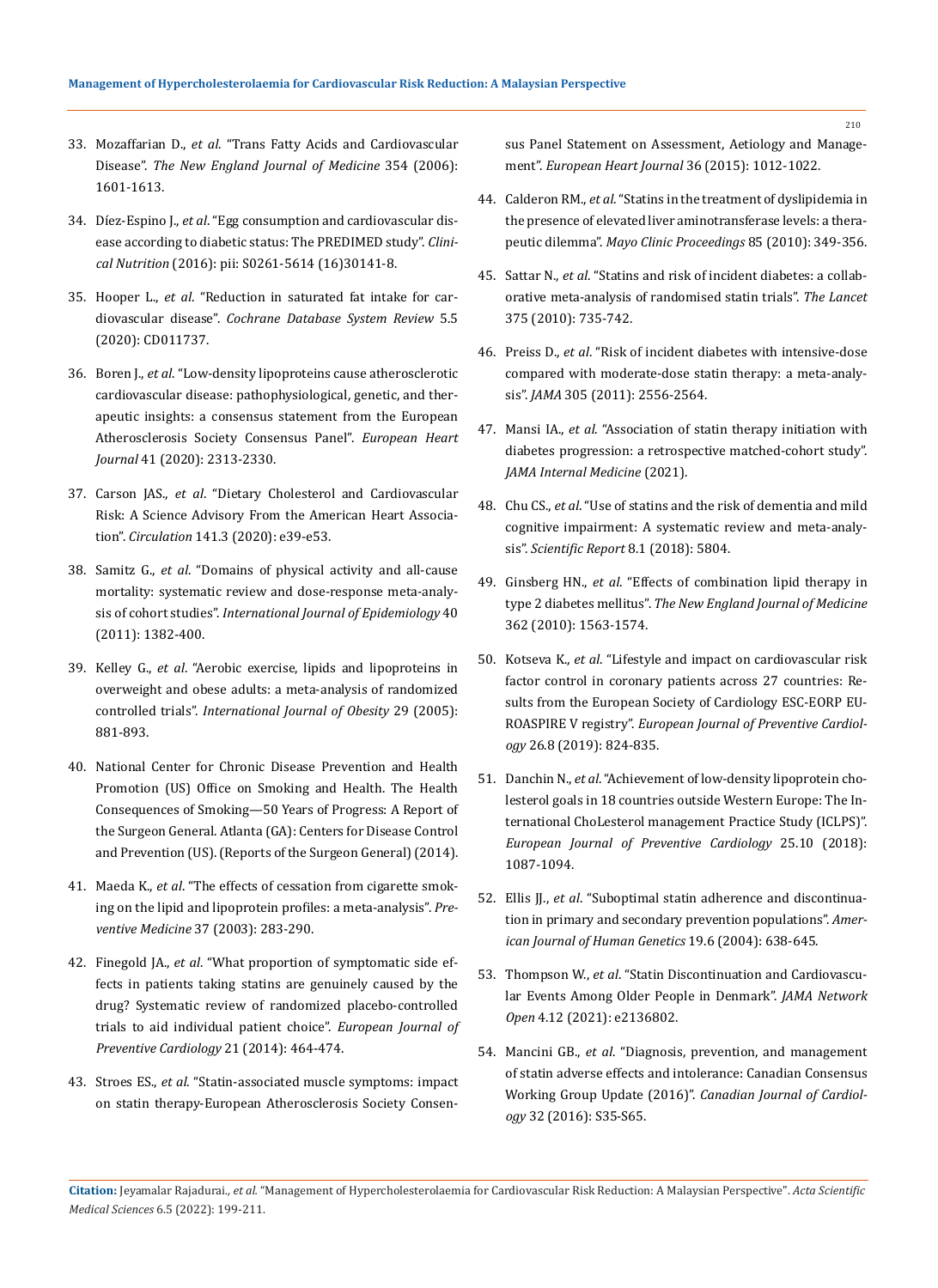- 33. Mozaffarian D., *et al*. "Trans Fatty Acids and Cardiovascular Disease". *The New England Journal of Medicine* 354 (2006): 1601-1613.
- 34. Díez-Espino J., *et al*[. "Egg consumption and cardiovascular dis](https://pubmed.ncbi.nlm.nih.gov/27448949/)[ease according to diabetic status: The PREDIMED study".](https://pubmed.ncbi.nlm.nih.gov/27448949/) *Clinical Nutrition* [\(2016\): pii: S0261-5614 \(16\)30141-8.](https://pubmed.ncbi.nlm.nih.gov/27448949/)
- 35. Hooper L., *et al*[. "Reduction in saturated fat intake for car](https://pubmed.ncbi.nlm.nih.gov/26068959/)diovascular disease". *[Cochrane Database System Review](https://pubmed.ncbi.nlm.nih.gov/26068959/)* 5.5 [\(2020\): CD011737.](https://pubmed.ncbi.nlm.nih.gov/26068959/)
- 36. Boren J., *et al*[. "Low-density lipoproteins cause atherosclerotic](https://academic.oup.com/eurheartj/article/41/24/2313/5735221)  [cardiovascular disease: pathophysiological, genetic, and ther](https://academic.oup.com/eurheartj/article/41/24/2313/5735221)[apeutic insights: a consensus statement from the European](https://academic.oup.com/eurheartj/article/41/24/2313/5735221)  [Atherosclerosis Society Consensus Panel".](https://academic.oup.com/eurheartj/article/41/24/2313/5735221) *European Heart Journal* [41 \(2020\): 2313-2330.](https://academic.oup.com/eurheartj/article/41/24/2313/5735221)
- 37. Carson JAS., *et al*[. "Dietary Cholesterol and Cardiovascular](https://pubmed.ncbi.nlm.nih.gov/31838890/)  [Risk: A Science Advisory From the American Heart Associa](https://pubmed.ncbi.nlm.nih.gov/31838890/)tion". *Circulation* [141.3 \(2020\): e39-e53.](https://pubmed.ncbi.nlm.nih.gov/31838890/)
- 38. Samitz G., *et al*[. "Domains of physical activity and all-cause](https://pubmed.ncbi.nlm.nih.gov/22039197/)  [mortality: systematic review and dose-response meta-analy](https://pubmed.ncbi.nlm.nih.gov/22039197/)sis of cohort studies". *[International Journal of Epidemiology](https://pubmed.ncbi.nlm.nih.gov/22039197/)* 40 [\(2011\): 1382-400.](https://pubmed.ncbi.nlm.nih.gov/22039197/)
- 39. Kelley G., *et al*[. "Aerobic exercise, lipids and lipoproteins in](https://www.ncbi.nlm.nih.gov/pmc/articles/PMC2443827/)  [overweight and obese adults: a meta-analysis of randomized](https://www.ncbi.nlm.nih.gov/pmc/articles/PMC2443827/)  controlled trials". *[International Journal of Obesity](https://www.ncbi.nlm.nih.gov/pmc/articles/PMC2443827/)* 29 (2005): [881-893.](https://www.ncbi.nlm.nih.gov/pmc/articles/PMC2443827/)
- 40. National Center for Chronic Disease Prevention and Health Promotion (US) Office on Smoking and Health. The Health Consequences of Smoking—50 Years of Progress: A Report of the Surgeon General. Atlanta (GA): Centers for Disease Control and Prevention (US). (Reports of the Surgeon General) (2014).
- 41. Maeda K., *et al*. "The effects of cessation from cigarette smoking on the lipid and lipoprotein profiles: a meta-analysis". *Preventive Medicine* 37 (2003): 283-290.
- 42. Finegold JA., *et al*. "What proportion of symptomatic side effects in patients taking statins are genuinely caused by the drug? Systematic review of randomized placebo-controlled trials to aid individual patient choice". *European Journal of Preventive Cardiology* 21 (2014): 464-474.
- 43. Stroes ES., *et al*[. "Statin-associated muscle symptoms: impact](https://pubmed.ncbi.nlm.nih.gov/25694464/)  [on statin therapy-European Atherosclerosis Society Consen-](https://pubmed.ncbi.nlm.nih.gov/25694464/)

[sus Panel Statement on Assessment, Aetiology and Manage](https://pubmed.ncbi.nlm.nih.gov/25694464/)ment". *[European Heart Journal](https://pubmed.ncbi.nlm.nih.gov/25694464/)* 36 (2015): 1012-1022.

- 44. Calderon RM., *et al*[. "Statins in the treatment of dyslipidemia in](https://pubmed.ncbi.nlm.nih.gov/20360293/)  [the presence of elevated liver aminotransferase levels: a thera](https://pubmed.ncbi.nlm.nih.gov/20360293/)peutic dilemma". *[Mayo Clinic Proceedings](https://pubmed.ncbi.nlm.nih.gov/20360293/)* 85 (2010): 349-356.
- 45. Sattar N., *et al*[. "Statins and risk of incident diabetes: a collab](https://pubmed.ncbi.nlm.nih.gov/20167359/)[orative meta-analysis of randomised statin trials".](https://pubmed.ncbi.nlm.nih.gov/20167359/) *The Lancet*  [375 \(2010\): 735-742.](https://pubmed.ncbi.nlm.nih.gov/20167359/)
- 46. Preiss D., *et al*[. "Risk of incident diabetes with intensive-dose](https://jamanetwork.com/journals/jama/fullarticle/646699)  [compared with moderate-dose statin therapy: a meta-analy](https://jamanetwork.com/journals/jama/fullarticle/646699)sis". *JAMA* [305 \(2011\): 2556-2564.](https://jamanetwork.com/journals/jama/fullarticle/646699)
- 47. Mansi IA., *et al*[. "Association of statin therapy initiation with](https://pubmed.ncbi.nlm.nih.gov/34605849/)  [diabetes progression: a retrospective matched-cohort study".](https://pubmed.ncbi.nlm.nih.gov/34605849/)  *[JAMA Internal Medicine](https://pubmed.ncbi.nlm.nih.gov/34605849/)* (2021).
- 48. Chu CS., *et al*[. "Use of statins and the risk of dementia and mild](https://pubmed.ncbi.nlm.nih.gov/29643479/)  [cognitive impairment: A systematic review and meta-analy](https://pubmed.ncbi.nlm.nih.gov/29643479/)sis". *[Scientific Report](https://pubmed.ncbi.nlm.nih.gov/29643479/)* 8.1 (2018): 5804.
- 49. Ginsberg HN., *et al*[. "Effects of combination lipid therapy in](https://pubmed.ncbi.nlm.nih.gov/20228404/)  type 2 diabetes mellitus". *[The New England Journal of Medicine](https://pubmed.ncbi.nlm.nih.gov/20228404/)* [362 \(2010\): 1563-1574.](https://pubmed.ncbi.nlm.nih.gov/20228404/)
- 50. Kotseva K., *et al*[. "Lifestyle and impact on cardiovascular risk](https://pubmed.ncbi.nlm.nih.gov/30739508/)  [factor control in coronary patients across 27 countries: Re](https://pubmed.ncbi.nlm.nih.gov/30739508/)[sults from the European Society of Cardiology ESC-EORP EU-](https://pubmed.ncbi.nlm.nih.gov/30739508/)ROASPIRE V registry". *[European Journal of Preventive Cardiol](https://pubmed.ncbi.nlm.nih.gov/30739508/)ogy* [26.8 \(2019\): 824-835.](https://pubmed.ncbi.nlm.nih.gov/30739508/)
- 51. Danchin N., *et al*[. "Achievement of low-density lipoprotein cho](https://pubmed.ncbi.nlm.nih.gov/29771156/)[lesterol goals in 18 countries outside Western Europe: The In](https://pubmed.ncbi.nlm.nih.gov/29771156/)[ternational ChoLesterol management Practice Study \(ICLPS\)".](https://pubmed.ncbi.nlm.nih.gov/29771156/)  *[European Journal of Preventive Cardiology](https://pubmed.ncbi.nlm.nih.gov/29771156/)* 25.10 (2018): [1087-1094.](https://pubmed.ncbi.nlm.nih.gov/29771156/)
- 52. Ellis JJ., *et al*[. "Suboptimal statin adherence and discontinua](https://pubmed.ncbi.nlm.nih.gov/15209602/)[tion in primary and secondary prevention populations".](https://pubmed.ncbi.nlm.nih.gov/15209602/) *Amer[ican Journal of Human Genetics](https://pubmed.ncbi.nlm.nih.gov/15209602/)* 19.6 (2004): 638-645.
- 53. Thompson W., *et al*[. "Statin Discontinuation and Cardiovascu](https://jamanetwork.com/journals/jamanetworkopen/fullarticle/2786791)[lar Events Among Older People in Denmark".](https://jamanetwork.com/journals/jamanetworkopen/fullarticle/2786791) *JAMA Network Open* [4.12 \(2021\): e2136802.](https://jamanetwork.com/journals/jamanetworkopen/fullarticle/2786791)
- 54. Mancini GB., *et al*[. "Diagnosis, prevention, and management](https://pubmed.ncbi.nlm.nih.gov/27342697/)  [of statin adverse effects and intolerance: Canadian Consensus](https://pubmed.ncbi.nlm.nih.gov/27342697/)  Working Group Update (2016)". *[Canadian Journal of Cardiol](https://pubmed.ncbi.nlm.nih.gov/27342697/)ogy* [32 \(2016\): S35-S65.](https://pubmed.ncbi.nlm.nih.gov/27342697/)